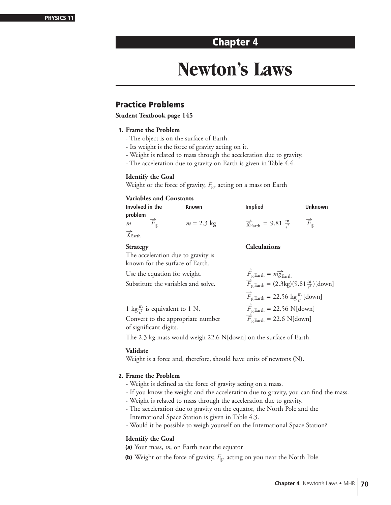# **Chapter 4**

# **Newton's Laws**

### **Practice Problems**

**Student Textbook page 145**

#### **1. Frame the Problem**

- The object is on the surface of Earth.
- Its weight is the force of gravity acting on it.
- Weight is related to mass through the acceleration due to gravity.
- The acceleration due to gravity on Earth is given in Table 4.4.

#### **Identify the Goal**

Weight or the force of gravity,  $F_{\rm g}$ , acting on a mass on Earth

#### **Variables and Constants**

| <b>Known</b> | <b>Implied</b>                                                                                                                                                                             | <b>Unknown</b>                                                                                                                                                                                                                              |
|--------------|--------------------------------------------------------------------------------------------------------------------------------------------------------------------------------------------|---------------------------------------------------------------------------------------------------------------------------------------------------------------------------------------------------------------------------------------------|
|              |                                                                                                                                                                                            |                                                                                                                                                                                                                                             |
| $m = 2.3$ kg |                                                                                                                                                                                            | $\overrightarrow{F}_{\mathfrak{g}}$                                                                                                                                                                                                         |
|              |                                                                                                                                                                                            |                                                                                                                                                                                                                                             |
|              | <b>Calculations</b>                                                                                                                                                                        |                                                                                                                                                                                                                                             |
|              |                                                                                                                                                                                            |                                                                                                                                                                                                                                             |
|              |                                                                                                                                                                                            |                                                                                                                                                                                                                                             |
|              |                                                                                                                                                                                            |                                                                                                                                                                                                                                             |
|              |                                                                                                                                                                                            |                                                                                                                                                                                                                                             |
|              | $\overrightarrow{F}_{\text{g Earth}} = 22.56 \text{ kg} \frac{\text{m}}{s^2} \text{[down]}$                                                                                                |                                                                                                                                                                                                                                             |
|              | $\overrightarrow{F}_{\rm g\,Earth} = 22.56$ N[down]                                                                                                                                        |                                                                                                                                                                                                                                             |
|              | The acceleration due to gravity is<br>known for the surface of Earth.<br>Use the equation for weight.<br>Substitute the variables and solve.<br>1 kg $\frac{m}{s^2}$ is equivalent to 1 N. | $\frac{1}{g}$ <sub>Earth</sub> = 9.81 $\frac{m}{f^2}$<br>$\overrightarrow{F}_{\text{g Earth}} = m \overrightarrow{g}_{\text{Earth}}$ $\overrightarrow{F}_{\text{g Earth}} = (2.3 \text{kg})(9.81 \frac{\text{m}}{\text{s}^2})[\text{down}]$ |

Convert to the appropriate number of significant digits.

The 2.3 kg mass would weigh 22.6 N[down] on the surface of Earth.

#### **Validate**

Weight is a force and, therefore, should have units of newtons (N).

#### **2. Frame the Problem**

- Weight is defined as the force of gravity acting on a mass.
- If you know the weight and the acceleration due to gravity, you can find the mass.

 $\overrightarrow{F}_{g\text{ Earth}} = 22.6 \text{ N}$ [down]

- Weight is related to mass through the acceleration due to gravity.
- The acceleration due to gravity on the equator, the North Pole and the International Space Station is given in Table 4.3.
- Would it be possible to weigh yourself on the International Space Station?

#### **Identify the Goal**

- **(a)** Your mass, *m*, on Earth near the equator
- **(b)** Weight or the force of gravity,  $F_g$ , acting on you near the North Pole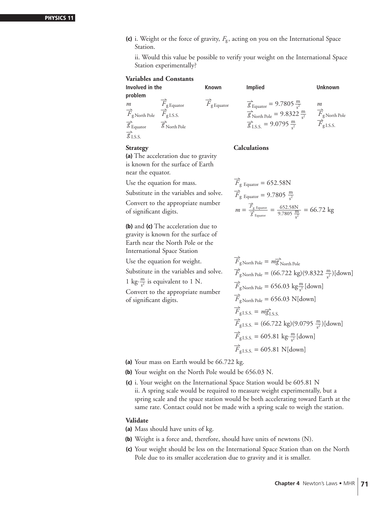**(c)** i. Weight or the force of gravity,  $F_{g}$ , acting on you on the International Space Station.

ii. Would this value be possible to verify your weight on the International Space Station experimentally?

|                                                                                                                                                     | <b>Variables and Constants</b>                                                                           |                                            |                                                                                                                                                                                    |                                                                                    |
|-----------------------------------------------------------------------------------------------------------------------------------------------------|----------------------------------------------------------------------------------------------------------|--------------------------------------------|------------------------------------------------------------------------------------------------------------------------------------------------------------------------------------|------------------------------------------------------------------------------------|
| Involved in the                                                                                                                                     |                                                                                                          | <b>Known</b>                               | <b>Implied</b>                                                                                                                                                                     | <b>Unknown</b>                                                                     |
| problem<br>m<br>$\overrightarrow{F}_{\text{g\,North Pole}}$<br>$\overrightarrow{\mathcal{G}}_{\text{Equator}}$<br>$\overrightarrow{g}_{\text{LSS}}$ | $\overline{F}_{\text{g} \text{Equator}}$<br>$\overline{F}_{\text{gI.S.S.}}$<br>$\overline{g}$ North Pole | $\overline{F}_{\text{g}_{\text{Equator}}}$ | $\frac{Q}{g_{\text{Equator}}}$ = 9.7805 $\frac{m}{s^2}$<br>$\frac{1}{g}$ <sub>North Pole</sub> = 9.8322 $\frac{m}{s^2}$<br>$\frac{1}{g}$ <sub>LS.S.</sub> = 9.0795 $\frac{m}{c^2}$ | m<br>$\overline{F}_{\text{g North Pole}}$<br>$\overrightarrow{F}_{\text{gI.S.S.}}$ |
|                                                                                                                                                     |                                                                                                          |                                            |                                                                                                                                                                                    |                                                                                    |

**Strategy Calculations** 

**(a)** The acceleration due to gravity is known for the surface of Earth near the equator.

Use the equation for mass.

Substitute in the variables and solve. Convert to the appropriate number

of significant digits.

**(b)** and **(c)** The acceleration due to gravity is known for the surface of Earth near the North Pole or the International Space Station

Use the equation for weight.

Substitute in the variables and solve.

1 kg $\cdot \frac{m}{s^2}$  $\frac{m}{s^2}$  is equivalent to 1 N.

Convert to the appropriate number of significant digits.

$$
\overrightarrow{F}_{g \text{ Equation}} = 652.58 \text{N}
$$
\n
$$
\overrightarrow{F}_{g \text{ Equation}} = 9.7805 \frac{\text{m}}{s^2}
$$
\n
$$
m = \frac{\overrightarrow{F}_{g \text{ Equation}}}{\overrightarrow{g} \text{ Equation}} = \frac{652.58 \text{N}}{9.7805 \frac{\text{m}}{s^2}} = 66.72 \text{ kg}
$$

$$
\overrightarrow{F}_{\text{g\,North Pole}} = m\overrightarrow{g}_{\text{North Pole}}\n\overrightarrow{F}_{\text{g\,North Pole}} = (66.722 \text{ kg})(9.8322 \frac{\text{m}}{s^2})[\text{down}]\n\overrightarrow{F}_{\text{g\,North Pole}} = 656.03 \text{ kg} \frac{\text{m}}{s^2}[\text{down}]\n\overrightarrow{F}_{\text{g\,North Pole}} = 656.03 \text{ N}[\text{down}]\n\overrightarrow{F}_{\text{g. L.S.S.}} = m\overrightarrow{g}_{\text{L.S.S.}}\n\overrightarrow{F}_{\text{g. L.S.S.}} = (66.722 \text{ kg})(9.0795 \frac{\text{m}}{s^2})[\text{down}]\n\overrightarrow{F}_{\text{g. L.S.S.}} = 605.81 \text{ kg} \cdot \frac{\text{m}}{s^2}[\text{down}]\n\overrightarrow{F}_{\text{g. L.S.S.}} = 605.81 \text{ N}[\text{down}]
$$

**(a)** Your mass on Earth would be 66.722 kg.

**(b)** Your weight on the North Pole would be 656.03 N.

**(c)** i. Your weight on the International Space Station would be 605.81 N ii. A spring scale would be required to measure weight experimentally, but a spring scale and the space station would be both accelerating toward Earth at the same rate. Contact could not be made with a spring scale to weigh the station.

#### **Validate**

**(a)** Mass should have units of kg.

- **(b)** Weight is a force and, therefore, should have units of newtons (N).
- **(c)** Your weight should be less on the International Space Station than on the North Pole due to its smaller acceleration due to gravity and it is smaller.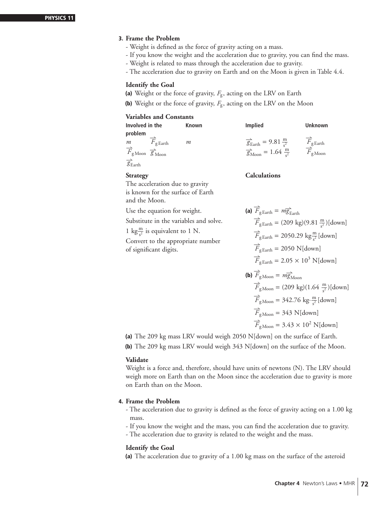#### **3. Frame the Problem**

- Weight is defined as the force of gravity acting on a mass.
- If you know the weight and the acceleration due to gravity, you can find the mass.
- Weight is related to mass through the acceleration due to gravity.
- The acceleration due to gravity on Earth and on the Moon is given in Table 4.4.

#### **Identify the Goal**

- (a) Weight or the force of gravity,  $F_{\rm g}$ , acting on the LRV on Earth
- **(b)** Weight or the force of gravity,  $F_g$ , acting on the LRV on the Moon

#### **Variables and Constants**

| Involved in the                                                        | Known | <b>Implied</b>                                       | Unknown                                    |
|------------------------------------------------------------------------|-------|------------------------------------------------------|--------------------------------------------|
| problem                                                                |       |                                                      |                                            |
| $\overline{F}_{\text{g Earth}}$<br>m                                   | m     | $\frac{1}{g_{\text{Earth}}}$ = 9.81 $\frac{m}{s^2}$  | $\overline{F}_{\text{g} \, \text{Earth}}$  |
| $\overrightarrow{F}_{\text{gMoon}}$ $\overrightarrow{g}_{\text{Moon}}$ |       | $\frac{1}{g}$ <sub>Moon</sub> = 1.64 $\frac{m}{c^2}$ | $\overrightarrow{F}_{\text{g}\text{Moon}}$ |
| $\overrightarrow{g}_{\text{Earth}}$                                    |       |                                                      |                                            |
| <b>Strategy</b>                                                        |       | <b>Calculations</b>                                  |                                            |
| The acceleration due to gravity                                        |       |                                                      |                                            |

and the Moon. Use the equation for weight.

is known for the surface of Earth

Substitute in the variables and solve.

1 kg $\frac{m}{s^2}$  is equivalent to 1 N.

Convert to the appropriate number of significant digits.

 $\overrightarrow{F}_{\text{g Earth}} = m \overrightarrow{g}_{\text{Earth}}$  $\overrightarrow{F}_{\text{g Earth}} = (209 \text{ kg})(9.81 \frac{\text{m}}{\text{s}^2})[\text{down}]$  $\overrightarrow{F}_{\text{g Earth}} = 2050.29 \text{ kg} \frac{\text{m}}{\text{s}^2} [\text{down}]$  $\overrightarrow{F}_{\text{g Earth}} = 2050 \text{ N}[\text{down}]$  $\overrightarrow{F}_{\text{g Earth}} = 2.05 \times 10^3 \text{ N}[\text{down}]$ **(b)**  $\overrightarrow{F}_{\text{gMoon}} = m\overrightarrow{g}_{\text{Moon}}$  $\overrightarrow{F}_{\text{gMoon}} = (209 \text{ kg})(1.64 \frac{\text{m}}{\text{s}^2})[\text{down}]$  $\overrightarrow{F}_{\text{gMoon}} = 342.76 \text{ kg} \cdot \frac{\text{m}}{\text{s}^2}$  $\frac{\text{m}}{\text{s}^2}$ [down]  $\overrightarrow{F}_{\text{gMoon}} = 343 \text{ N}[\text{down}]$  $\overrightarrow{F}_{\text{gMoon}} = 3.43 \times 10^2 \text{ N}[\text{down}]$ 

**(a)** The 209 kg mass LRV would weigh 2050 N[down] on the surface of Earth.

**(b)** The 209 kg mass LRV would weigh 343 N[down] on the surface of the Moon.

#### **Validate**

Weight is a force and, therefore, should have units of newtons (N). The LRV should weigh more on Earth than on the Moon since the acceleration due to gravity is more on Earth than on the Moon.

#### **4. Frame the Problem**

- The acceleration due to gravity is defined as the force of gravity acting on a 1.00 kg mass.
- If you know the weight and the mass, you can find the acceleration due to gravity.
- The acceleration due to gravity is related to the weight and the mass.

#### **Identify the Goal**

**(a)** The acceleration due to gravity of a 1.00 kg mass on the surface of the asteroid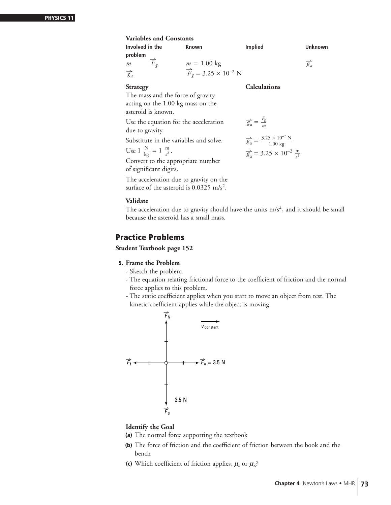| <b>Variables and Constants</b>           |                                                                                 |                                                                         |                        |
|------------------------------------------|---------------------------------------------------------------------------------|-------------------------------------------------------------------------|------------------------|
| Involved in the                          | <b>Known</b>                                                                    | <b>Implied</b>                                                          | Unknown                |
| problem                                  |                                                                                 |                                                                         |                        |
| $\overrightarrow{F}_{q}$<br>m            |                                                                                 |                                                                         | $\overrightarrow{g}_a$ |
| $\overrightarrow{g}_a$                   | $m = 1.00 \text{ kg}$<br>$\overrightarrow{F}_g = 3.25 \times 10^{-2} \text{ N}$ |                                                                         |                        |
| <b>Strategy</b>                          |                                                                                 | <b>Calculations</b>                                                     |                        |
| The mass and the force of gravity        |                                                                                 |                                                                         |                        |
| acting on the 1.00 kg mass on the        |                                                                                 |                                                                         |                        |
| asteroid is known.                       |                                                                                 |                                                                         |                        |
|                                          | Use the equation for the acceleration                                           | $\overrightarrow{g}_a = \frac{F_g}{m}$                                  |                        |
| due to gravity.                          |                                                                                 |                                                                         |                        |
|                                          | Substitute in the variables and solve.                                          | $\frac{1}{g_a} = \frac{3.25 \times 10^{-2} \text{ N}}{1.00 \text{ kg}}$ |                        |
|                                          |                                                                                 |                                                                         |                        |
| Use 1 $\frac{N}{kg} = 1 \frac{m}{s^2}$ . |                                                                                 | $\overrightarrow{g}_a$ = 3.25 × 10 <sup>-2</sup> $\frac{m}{c^2}$        |                        |
| Convert to the appropriate number        |                                                                                 |                                                                         |                        |
| of significant digits.                   |                                                                                 |                                                                         |                        |

The acceleration due to gravity on the surface of the asteroid is 0.0325 m/s<sup>2</sup>.

#### **Validate**

The acceleration due to gravity should have the units  $m/s<sup>2</sup>$ , and it should be small because the asteroid has a small mass.

### **Practice Problems**

**Student Textbook page 152**

#### **5. Frame the Problem**

- Sketch the problem.
- The equation relating frictional force to the coefficient of friction and the normal force applies to this problem.
- The static coefficient applies when you start to move an object from rest. The kinetic coefficient applies while the object is moving.



#### **Identify the Goal**

- **(a)** The normal force supporting the textbook
- **(b)** The force of friction and the coefficient of friction between the book and the bench
- (c) Which coefficient of friction applies,  $\mu_s$  or  $\mu_k$ ?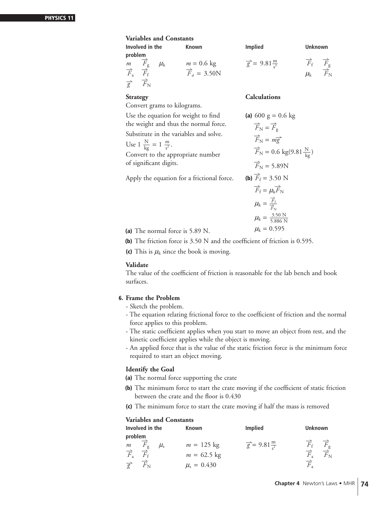#### **Variables and Constants**

|                                                                                                                   | 'WINDIVD WIN OVINCHING |                                                |                                      |                                                                                      |  |  |  |
|-------------------------------------------------------------------------------------------------------------------|------------------------|------------------------------------------------|--------------------------------------|--------------------------------------------------------------------------------------|--|--|--|
| Involved in the                                                                                                   |                        | <b>Known</b>                                   | <b>Implied</b>                       | <b>Unknown</b>                                                                       |  |  |  |
| problem<br>$m$ $F_{\rm g}$<br>$\overrightarrow{F}_a$<br>$F_f$<br>$\overrightarrow{g}$<br>$\overrightarrow{F}_{N}$ | $\mu_{\rm k}$          | $m = 0.6$ kg<br>$\overrightarrow{F}_a = 3.50N$ | $\frac{1}{g}$ = 9.81 $\frac{m}{a^2}$ | $\overrightarrow{F}_{g}$<br>$\overrightarrow{F}_{f}$<br>$F_{\rm N}$<br>$\mu_{\rm k}$ |  |  |  |

Convert grams to kilograms.

Use the equation for weight to find the weight and thus the normal force.

Substitute in the variables and solve.

Use  $1 \frac{N}{kg} = 1 \frac{m}{s^2}$ .

Convert to the appropriate number of significant digits.

Apply the equation for a frictional force.

#### **Strategy Calculations**

(a) 600 g = 0.6 kg  
\n
$$
\overrightarrow{F}_{N} = \overrightarrow{F}_{g}
$$
\n
$$
\overrightarrow{F}_{N} = m\overrightarrow{g}
$$
\n
$$
\overrightarrow{F}_{N} = 0.6 \text{ kg}(9.81 \frac{\text{N}}{\text{kg}})
$$
\n
$$
\overrightarrow{F}_{N} = 5.89 \text{N}
$$
\n(b) 
$$
\overrightarrow{F}_{f} = 3.50 \text{ N}
$$
\n
$$
\overrightarrow{F}_{f} = \mu_{k} \overrightarrow{F}_{N}
$$
\n
$$
\mu_{k} = \frac{\overrightarrow{F}_{f}}{\overrightarrow{F}_{N}}
$$
\n
$$
\mu_{k} = \frac{3.50 \text{ N}}{5.886 \text{ N}}
$$
\n
$$
\mu_{k} = 0.595
$$

(a) The normal force is 5.89 N.

**(b)** The friction force is 3.50 N and the coefficient of friction is 0.595.

**(c)** This is  $\mu_k$  since the book is moving.

#### **Validate**

The value of the coefficient of friction is reasonable for the lab bench and book surfaces.

#### **6. Frame the Problem**

- Sketch the problem.
- The equation relating frictional force to the coefficient of friction and the normal force applies to this problem.
- The static coefficient applies when you start to move an object from rest, and the kinetic coefficient applies while the object is moving.
- An applied force that is the value of the static friction force is the minimum force required to start an object moving.

#### **Identify the Goal**

- **(a)** The normal force supporting the crate
- **(b)** The minimum force to start the crate moving if the coefficient of static friction between the crate and the floor is 0.430
- **(c)** The minimum force to start the crate moving if half the mass is removed

|                                  | Involved in the              | <b>Known</b>               | Implied                          | <b>Unknown</b>                                       |
|----------------------------------|------------------------------|----------------------------|----------------------------------|------------------------------------------------------|
| problem                          |                              |                            |                                  |                                                      |
|                                  | $F_{\rm g}$<br>$\mu_{\rm s}$ | $m = 125$ kg               | $\vec{g}$ = 9.81 $\frac{m}{c^2}$ | $\overrightarrow{F}_{f}$<br>$\overrightarrow{F}_{g}$ |
| $\frac{m}{\overrightarrow{F}_a}$ |                              | $m = 62.5$ kg              |                                  | $\overrightarrow{F}_{N}$<br>$\overline{F}_a$         |
| $\overrightarrow{g}$             | $\overrightarrow{F}_{N}$     | $\mu$ <sub>s</sub> = 0.430 |                                  | $\overrightarrow{F}_1$                               |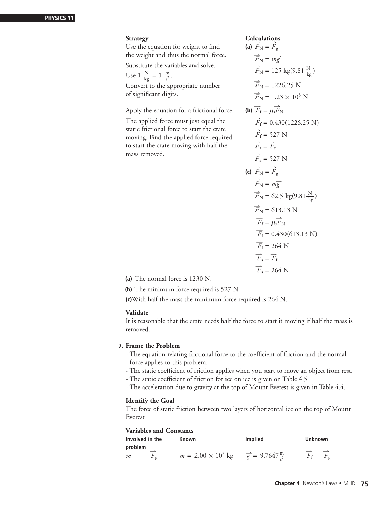#### **Strategy**

Use the equation for weight to find **(** the weight and thus the normal force.

Substitute the variables and solve.

Use  $1 \frac{N}{kg} = 1 \frac{m}{s^2}$ . Convert to the appropriate number of significant digits.

Apply the equation for a frictional force. **(** 

The applied force must just equal the static frictional force to start the crate moving. Find the applied force required to start the crate moving with half the mass removed.

Calculations  
\n(a) 
$$
\overrightarrow{F}_{N} = \overrightarrow{F}_{g}
$$
  
\n $\overrightarrow{F}_{N} = m\overrightarrow{g}$   
\n $\overrightarrow{F}_{N} = 125 \text{ kg}(9.81 \frac{\text{N}}{\text{kg}})$   
\n $\overrightarrow{F}_{N} = 1226.25 \text{ N}$   
\n $\overrightarrow{F}_{N} = 1.23 \times 10^{3} \text{ N}$   
\n(b)  $\overrightarrow{F}_{f} = \mu_{s}\overrightarrow{F}_{N}$   
\n $\overrightarrow{F}_{f} = 0.430(1226.25 \text{ N})$   
\n $\overrightarrow{F}_{f} = 527 \text{ N}$   
\n $\overrightarrow{F}_{a} = \overrightarrow{F}_{f}$   
\n $\overrightarrow{F}_{a} = 527 \text{ N}$   
\n(c)  $\overrightarrow{F}_{N} = \overrightarrow{F}_{g}$   
\n $\overrightarrow{F}_{N} = m\overrightarrow{g}$   
\n $\overrightarrow{F}_{N} = m\overrightarrow{g}$   
\n $\overrightarrow{F}_{N} = 62.5 \text{ kg}(9.81 \frac{\text{N}}{\text{kg}})$   
\n $\overrightarrow{F}_{f} = \mu_{s}\overrightarrow{F}_{N}$   
\n $\overrightarrow{F}_{f} = 0.430(613.13 \text{ N})$   
\n $\overrightarrow{F}_{f} = 264 \text{ N}$   
\n $\overrightarrow{F}_{a} = \overrightarrow{F}_{f}$   
\n $\overrightarrow{F}_{a} = 264 \text{ N}$ 

**(a)** The normal force is 1230 N.

**(b)** The minimum force required is 527 N

**(c)**With half the mass the minimum force required is 264 N.

#### **Validate**

It is reasonable that the crate needs half the force to start it moving if half the mass is removed.

#### **7. Frame the Problem**

- The equation relating frictional force to the coefficient of friction and the normal force applies to this problem.
- The static coefficient of friction applies when you start to move an object from rest.
- The static coefficient of friction for ice on ice is given on Table 4.5
- The acceleration due to gravity at the top of Mount Everest is given in Table 4.4.

#### **Identify the Goal**

The force of static friction between two layers of horizontal ice on the top of Mount Everest

| Involved in the              | Known                                                        | <b>Implied</b> | <b>Unknown</b> |
|------------------------------|--------------------------------------------------------------|----------------|----------------|
| problem<br>$F_{\sigma}$<br>m | $m = 2.00 \times 10^2$ kg $\frac{m}{g} = 9.7647 \frac{m}{g}$ |                | $F_f$ $F_g$    |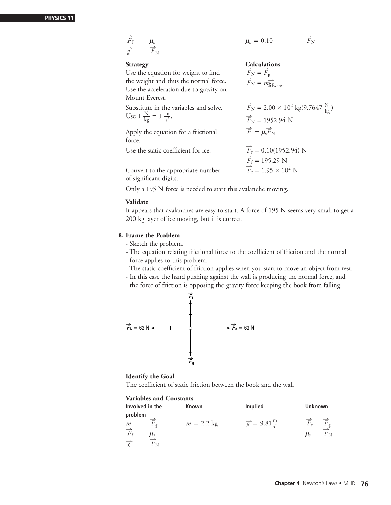| $\overrightarrow{F}_{f}$            | $\mu_{s}$                                         | $\mu_{s} = 0.10$    | $\overrightarrow{F}_{N}$ |
|-------------------------------------|---------------------------------------------------|---------------------|--------------------------|
| $\overrightarrow{g}$                | $\overrightarrow{F}_{N}$                          | <b>Calculations</b> |                          |
| Use the equation for weight to find | $\overrightarrow{F}_{N} = \overrightarrow{F}_{g}$ |                     |                          |

the weight and thus the normal force. Use the acceleration due to gravity on Mount Everest.

Substitute in the variables and solve.

Apply the equation for a frictional force.

Use the static coefficient for ice.

 $\overrightarrow{F}_{\text{N}} = m \overrightarrow{g}_{\text{E}}$  $\overrightarrow{F}_{\rm N} = 2.00 \times 10^2 \text{ kg} (9.7647 \frac{\text{N}}{\text{kg}})$  $\vec{F}_{N}$  = 1952.94 N Use  $1 \frac{N}{kg} = 1 \frac{m}{s^2}$ .  $\overrightarrow{F}_N = 1952.94 \text{ N}$  $\overrightarrow{F}_f = \mu_s \overrightarrow{F}_N$  $\overrightarrow{F}_f = 0.10(1952.94)$  N  $F_f = 195.29$  N  $\overline{F}_{\rm f} = 1.95 \times 10^2$  N

Convert to the appropriate number of significant digits.

Only a 195 N force is needed to start this avalanche moving.

#### **Validate**

It appears that avalanches are easy to start. A force of 195 N seems very small to get a 200 kg layer of ice moving, but it is correct.

#### **8. Frame the Problem**

- Sketch the problem.
- The equation relating frictional force to the coefficient of friction and the normal force applies to this problem.
- The static coefficient of friction applies when you start to move an object from rest.
- In this case the hand pushing against the wall is producing the normal force, and the force of friction is opposing the gravity force keeping the book from falling.



#### **Identify the Goal**

The coefficient of static friction between the book and the wall

| Involved in the          |                           | <b>Known</b> | <b>Implied</b>                   | <b>Unknown</b>              |                         |
|--------------------------|---------------------------|--------------|----------------------------------|-----------------------------|-------------------------|
| problem<br>m             |                           | $m = 2.2$ kg | $\vec{g}$ = 9.81 $\frac{m}{c^2}$ | $\overline{F}_{\mathsf{f}}$ |                         |
| $\overrightarrow{F}_{f}$ | $\sigma$<br>$\mu_{\rm s}$ |              |                                  | $\mu_{\rm s}$               | $\sigma$<br>$F_{\rm N}$ |
| $\overrightarrow{g}$     | $F_{\rm N}$               |              |                                  |                             |                         |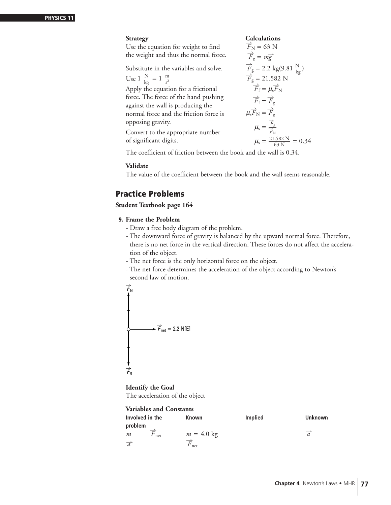#### **Strategy**

Use the equation for weight to find the weight and thus the normal force.

Substitute in the variables and solve.

Use  $1 \frac{N}{kg} = 1 \frac{m}{s^2}$ 

Apply the equation for a frictional force. The force of the hand pushing against the wall is producing the normal force and the friction force is opposing gravity.

Convert to the appropriate number of significant digits.

**Calculations**

\n
$$
\vec{F}_{N} = 63 \text{ N}
$$
\n
$$
\vec{F}_{g} = m\vec{g}
$$
\n
$$
\vec{F}_{g} = 2.2 \text{ kg}(9.81 \frac{\text{N}}{\text{kg}})
$$
\n
$$
\vec{F}_{g} = 21.582 \text{ N}
$$
\n
$$
\vec{F}_{f} = \mu_{s}\vec{F}_{N}
$$
\n
$$
\vec{F}_{f} = \vec{F}_{g}
$$
\n
$$
\mu_{s}\vec{F}_{N} = \vec{F}_{g}
$$
\n
$$
\mu_{s} = \frac{\vec{F}_{g}}{\vec{F}_{N}}
$$
\n
$$
\mu_{s} = \frac{21.582 \text{ N}}{63 \text{ N}} = 0.34
$$

The coefficient of friction between the book and the wall is 0.34.

#### **Validate**

The value of the coefficient between the book and the wall seems reasonable.

## **Practice Problems**

**Student Textbook page 164**

#### **9. Frame the Problem**

- Draw a free body diagram of the problem.
- The downward force of gravity is balanced by the upward normal force. Therefore, there is no net force in the vertical direction. These forces do not affect the acceleration of the object.
- The net force is the only horizontal force on the object.
- The net force determines the acceleration of the object according to Newton's second law of motion.

$$
\overrightarrow{F}_{N}
$$
\n
$$
\overrightarrow{F}_{net} = 2.2 N[E]
$$

**Identify the Goal** The acceleration of the object

| Involved in the       | Known            | <b>Implied</b> | <b>Unknown</b> |
|-----------------------|------------------|----------------|----------------|
| problem               |                  |                |                |
| $F_{\text{net}}$<br>m | $m = 4.0$ kg     |                | $\overline{d}$ |
| $\overrightarrow{a}$  | $F_{\text{net}}$ |                |                |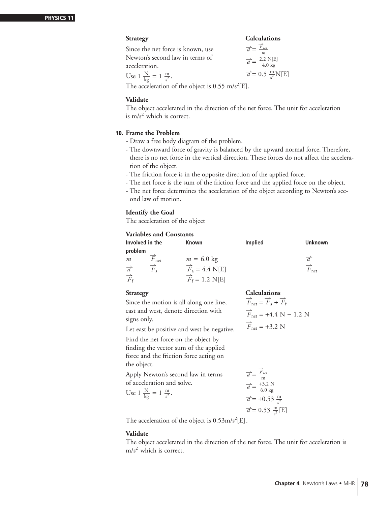**Strategy Calculations**

Since the net force is known, use Newton's second law in terms of acceleration.

$$
\vec{a} = \frac{\vec{F}_{net}}{m}
$$

$$
\vec{a} = \frac{2.2 \text{ N[E]}}{4.0 \text{ kg}}
$$

$$
\vec{a} = 0.5 \frac{\text{m}}{\text{s}^2} \text{N[E]}
$$

Use  $1 \frac{N}{kg} = 1 \frac{m}{s^2}$ .

The acceleration of the object is  $0.55 \text{ m/s}^2$ [E].

#### **Validate**

The object accelerated in the direction of the net force. The unit for acceleration is  $m/s<sup>2</sup>$  which is correct.

#### **10. Frame the Problem**

- Draw a free body diagram of the problem.
- The downward force of gravity is balanced by the upward normal force. Therefore, there is no net force in the vertical direction. These forces do not affect the acceleration of the object.
- The friction force is in the opposite direction of the applied force.
- The net force is the sum of the friction force and the applied force on the object.
- The net force determines the acceleration of the object according to Newton's second law of motion.

#### **Identify the Goal**

The acceleration of the object

#### **Variables and Constants**

| Involved in the                                | <b>Known</b>                              | <b>Implied</b> | Unknown                           |
|------------------------------------------------|-------------------------------------------|----------------|-----------------------------------|
| problem                                        |                                           |                |                                   |
| $F_{\text{net}}$<br>m                          | $m = 6.0$ kg                              |                | $\overrightarrow{a}$              |
| $\overrightarrow{F}_a$<br>$\overrightarrow{a}$ | $\overrightarrow{F}_a = 4.4 \text{ N[E]}$ |                | $\overrightarrow{F}_{\text{net}}$ |
| $\overrightarrow{F}_{f}$                       | $\overrightarrow{F}_f = 1.2 \text{ N[E]}$ |                |                                   |
|                                                |                                           |                |                                   |

Since the motion is all along one line, east and west, denote direction with signs only.

**Strategy Calculations**  $\overrightarrow{F}_{\text{net}} = \overrightarrow{F}_{a}$  $\overrightarrow{F}_a + \overrightarrow{F}_f$  $\overrightarrow{F}_{\text{net}}$  = +4.4 N – 1.2 N

Let east be positive and west be negative.

Find the net force on the object by finding the vector sum of the applied force and the friction force acting on the object.

Apply Newton's second law in terms of acceleration and solve.

Use 
$$
1 \frac{N}{kg} = 1 \frac{m}{s^2}
$$
.

$$
F_{\text{net}} = F_{\text{a}} +
$$

 $\overrightarrow{a} = \frac{\overrightarrow{F}_{\text{net}}}{m}$ m  $\vec{a} = \frac{+3.2 \text{ N}}{6.0 \text{ kg}}$ 

 $\vec{a} = +0.53 \frac{m}{s^2}$ 

 $\overrightarrow{F}_{\text{net}}$  = +3.2 N

 $\vec{a} = 0.53 \frac{m}{s^2} [E]$ The acceleration of the object is  $0.53 \text{m/s}^2 \text{[E]}$ .

#### **Validate**

The object accelerated in the direction of the net force. The unit for acceleration is  $m/s<sup>2</sup>$  which is correct.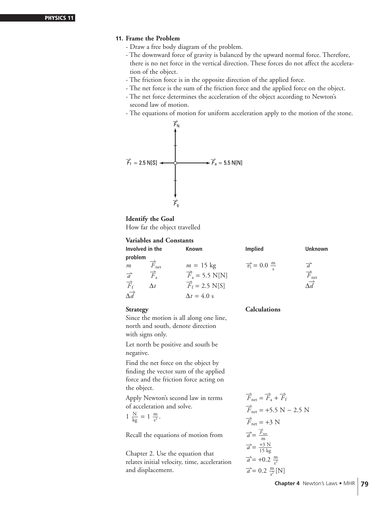#### **11. Frame the Problem**

- Draw a free body diagram of the problem.
- The downward force of gravity is balanced by the upward normal force. Therefore, there is no net force in the vertical direction. These forces do not affect the acceleration of the object.
- The friction force is in the opposite direction of the applied force.
- The net force is the sum of the friction force and the applied force on the object.
- The net force determines the acceleration of the object according to Newton's second law of motion.
- The equations of motion for uniform acceleration apply to the motion of the stone.



#### **Identify the Goal**

How far the object travelled

#### **Variables and Constants**

| Involved in the             | <b>Known</b>                      | <b>Implied</b>                           | <b>Unknown</b>                    |
|-----------------------------|-----------------------------------|------------------------------------------|-----------------------------------|
| problem                     |                                   |                                          |                                   |
| $\overline{F}_{\text{net}}$ | $m = 15$ kg                       | $\overrightarrow{v_i} = 0.0 \frac{m}{a}$ |                                   |
| $\overrightarrow{F}_a$      |                                   |                                          | $\overrightarrow{F}_{\text{net}}$ |
| $\Delta t$                  | $\overrightarrow{F}_f$ = 2.5 N[S] |                                          |                                   |
|                             | $\Delta t = 4.0$ s                |                                          |                                   |
|                             |                                   | $\overrightarrow{F}_a$ = 5.5 N[N]        |                                   |

#### **Strategy Calculations**

Since the motion is all along one line, north and south, denote direction with signs only.

Let north be positive and south be negative.

Find the net force on the object by finding the vector sum of the applied force and the friction force acting on the object.

Apply Newton's second law in terms of acceleration and solve.

$$
1\ \frac{N}{kg} = 1\ \frac{m}{s^2}.
$$

Recall the equations of motion from

Chapter 2. Use the equation that relates initial velocity, time, acceleration and displacement.

$$
\overrightarrow{F}_{\text{net}} = \overrightarrow{F}_a + \overrightarrow{F}_f
$$
\n
$$
\overrightarrow{F}_{\text{net}} = +5.5 \text{ N} - 2.5 \text{ N}
$$
\n
$$
\overrightarrow{F}_{\text{net}} = +3 \text{ N}
$$
\n
$$
\overrightarrow{a} = \frac{\overrightarrow{F}_{\text{net}}}{m}
$$
\n
$$
\overrightarrow{a} = \frac{+3 \text{ N}}{15 \text{ kg}}
$$
\n
$$
\overrightarrow{a} = +0.2 \frac{\text{m}}{s^2}
$$
\n
$$
\overrightarrow{a} = 0.2 \frac{\text{m}}{s^2} [\text{N}]
$$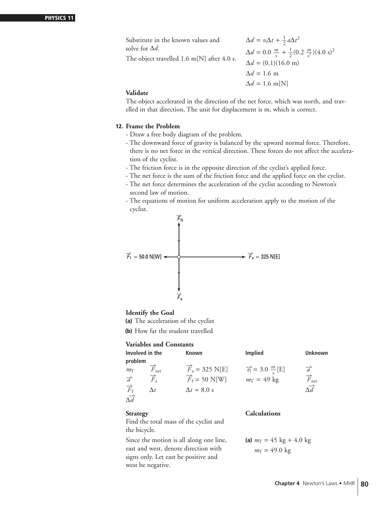Substitute in the known values and  $\Delta d = v_1 \Delta t + \frac{1}{2} a \Delta t^2$  $\Delta d = 0.0 \frac{\text{m}}{\text{s}} + \frac{1}{2} (0.2 \frac{\text{m}}{\text{s}^2}) (4.0 \text{ s})^2$  $\Delta d = (0.1)(16.0 \text{ m})$  $\Delta d = 1.6$  m  $\Delta d = 1.6$  m[N] solve for ∆*d*. The object travelled 1.6 m[N] after 4.0 s.

#### **Validate**

The object accelerated in the direction of the net force, which was north, and travelled in that direction. The unit for displacement is m, which is correct.

#### **12. Frame the Problem**

- Draw a free body diagram of the problem.
- The downward force of gravity is balanced by the upward normal force. Therefore, there is no net force in the vertical direction. These forces do not affect the acceleration of the cyclist.
- The friction force is in the opposite direction of the cyclist's applied force.
- The net force is the sum of the friction force and the applied force on the cyclist.
- The net force determines the acceleration of the cyclist according to Newton's second law of motion.
- The equations of motion for uniform acceleration apply to the motion of the cyclist.



#### **Identify the Goal**

- **(a)** The acceleration of the cyclist
- **(b)** How far the student travelled

#### **Variables and Constants**

| Involved in the                                                                                 |                                                          | <b>Known</b>                                                                             | <b>Implied</b>                                               | <b>Unknown</b>                                         |
|-------------------------------------------------------------------------------------------------|----------------------------------------------------------|------------------------------------------------------------------------------------------|--------------------------------------------------------------|--------------------------------------------------------|
| problem<br>$m_{\Gamma}$<br>$\overrightarrow{a}$<br>$\overrightarrow{F}_{f}$<br>$\Delta \vec{d}$ | $F_{\text{net}}$<br>$\overrightarrow{F}_a$<br>$\Delta t$ | $\vec{F}_a = 325 \text{ N[E]}$<br>$\overrightarrow{F}_f$ = 50 N[W]<br>$\Delta t = 8.0$ s | $\vec{v_i}$ = 3.0 $\frac{m}{s}$ [E]<br>$m_T = 49 \text{ kg}$ | $\overrightarrow{a}$<br>$\overrightarrow{F}_{\rm net}$ |
| <b>Strategy</b>                                                                                 |                                                          |                                                                                          | <b>Calculations</b>                                          |                                                        |

#### Find the total mass of the cyclist and the bicycle.

Since the motion is all along one line, **(a)**  $m_T = 45 \text{ kg} + 4.0 \text{ kg}$ east and west, denote direction with  $m_T = 49.0 \text{ kg}$ signs only. Let east be positive and west be negative.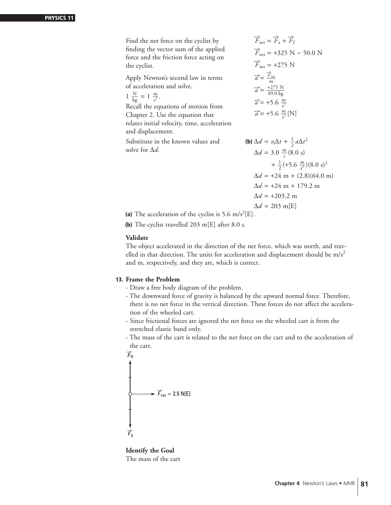Find the net force on the cyclist by finding the vector sum of the applied force and the friction force acting on the cyclist.

Apply Newton's second law in terms of acceleration and solve.

$$
1 \frac{N}{kg} = 1 \frac{m}{s^2}
$$
.

Recall the equations of motion from Chapter 2. Use the equation that relates initial velocity, time, acceleration and displacement.

Substitute in the known values and **(d** solve for ∆*d*.

$$
\overrightarrow{F}_{net} = \overrightarrow{F}_a + \overrightarrow{F}_f
$$
\n
$$
\overrightarrow{F}_{net} = +325 \text{ N} - 50.0 \text{ N}
$$
\n
$$
\overrightarrow{F}_{net} = +275 \text{ N}
$$
\n
$$
\overrightarrow{a} = \frac{\overrightarrow{F}_{net}}{m}
$$
\n
$$
\overrightarrow{a} = \frac{+275 \text{ N}}{49.0 \text{ kg}}
$$
\n
$$
\overrightarrow{a} = +5.6 \frac{\text{m}}{\text{s}^2}
$$
\n
$$
\overrightarrow{a} = +5.6 \frac{\text{m}}{\text{s}^2} [\text{N}]
$$

**b)** 
$$
\Delta d = v_1 \Delta t + \frac{1}{2} a \Delta t^2
$$
  
\n $\Delta d = 3.0 \frac{m}{s} (8.0 \text{ s})$   
\n $+ \frac{1}{2} (+5.6 \frac{m}{s^2}) (8.0 \text{ s})^2$   
\n $\Delta d = +24 \text{ m} + (2.8) (64.0 \text{ m})$   
\n $\Delta d = +24 \text{ m} + 179.2 \text{ m}$   
\n $\Delta d = +203.2 \text{ m}$   
\n $\Delta d = 203 \text{ m} [\text{E}]$ 

(a) The acceleration of the cyclist is  $5.6 \text{ m/s}^2$ [E].

**(b)** The cyclist travelled 203 m[E] after 8.0 s.

#### **Validate**

The object accelerated in the direction of the net force, which was north, and travelled in that direction. The units for acceleration and displacement should be  $m/s<sup>2</sup>$ and m, respectively, and they are, which is correct.

#### **13. Frame the Problem**

- Draw a free body diagram of the problem.
- The downward force of gravity is balanced by the upward normal force. Therefore, there is no net force in the vertical direction. These forces do not affect the acceleration of the wheeled cart.
- Since frictional forces are ignored the net force on the wheeled cart is from the stretched elastic band only.
- The mass of the cart is related to the net force on the cart and to the acceleration of the cart.

$$
\overrightarrow{F}_{N}
$$
\n
$$
\overrightarrow{F}_{net} = 2.5 N[E]
$$

**Identify the Goal** The mass of the cart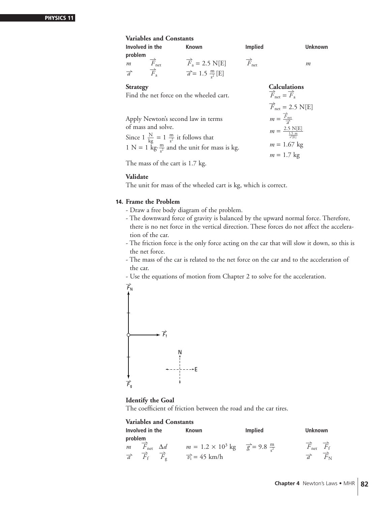| <b>Variables and Constants</b>              |                                           |                                                           |                                                                          |  |
|---------------------------------------------|-------------------------------------------|-----------------------------------------------------------|--------------------------------------------------------------------------|--|
| Involved in the                             | <b>Known</b>                              | <b>Implied</b>                                            | Unknown                                                                  |  |
| problem                                     |                                           |                                                           |                                                                          |  |
| $\overrightarrow{F}_{\text{net}}$<br>m      | $\overrightarrow{F}_a = 2.5 \text{ N[E]}$ | $\overrightarrow{F}_{\text{net}}$                         | m                                                                        |  |
| $\overrightarrow{a}$ $\overrightarrow{F}_a$ | $\vec{a}$ = 1.5 $\frac{m}{c^2}$ [E]       |                                                           |                                                                          |  |
| <b>Strategy</b>                             |                                           |                                                           |                                                                          |  |
| Find the net force on the wheeled cart.     |                                           |                                                           | <b>Calculations</b><br>$\overrightarrow{F}_{net} = \overrightarrow{F}_a$ |  |
|                                             |                                           |                                                           | $\overrightarrow{F}_{\text{net}}$ = 2.5 N[E]                             |  |
| Apply Newton's second law in terms          |                                           | $m = \frac{\overrightarrow{F}_{\text{net}}}{\rightarrow}$ |                                                                          |  |

Apply Newton's second law in terms of mass and solve.

Since  $1 \frac{N}{kg} = 1 \frac{m}{s^2}$  it follows that  $1 \text{ N} = 1 \text{ kg} \cdot \frac{\text{m}}{\text{s}^2}$  $\frac{m}{s^2}$  and the unit for mass is kg.

The mass of the cart is 1.7 kg.

#### **Validate**

The unit for mass of the wheeled cart is kg, which is correct.

#### **14. Frame the Problem**

- Draw a free body diagram of the problem.
- The downward force of gravity is balanced by the upward normal force. Therefore, there is no net force in the vertical direction. These forces do not affect the acceleration of the car.

 $m = \frac{2.5 \text{ N[E]}}{\frac{1.5 \text{ m}}{\text{s}^2[\text{E}]}}$  $m = 1.67$  kg  $m = 1.7$  kg

- The friction force is the only force acting on the car that will slow it down, so this is the net force.
- The mass of the car is related to the net force on the car and to the acceleration of the car.
- Use the equations of motion from Chapter 2 to solve for the acceleration.



# **Identify the Goal**

The coefficient of friction between the road and the car tires.

|         | Involved in the                 | Known                                                      | <b>Implied</b> | <b>Unknown</b>                                                    |
|---------|---------------------------------|------------------------------------------------------------|----------------|-------------------------------------------------------------------|
| problem |                                 |                                                            |                |                                                                   |
|         | $m$ $F_{\text{net}}$ $\Delta d$ | $m = 1.2 \times 10^3$ kg $\frac{m}{g} = 9.8 \frac{m}{r^2}$ |                | $\overrightarrow{F}_{\text{net}}$ $\overrightarrow{F}_{\text{f}}$ |
|         |                                 | $\vec{a}$ $\vec{F}_f$ $\vec{F}_g$ $\vec{v}_i = 45$ km/h    |                | $\overrightarrow{a}$ $\overrightarrow{F}_{N}$                     |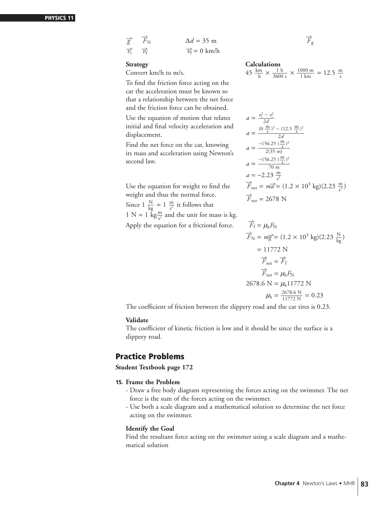| $\overrightarrow{g}$ $\overrightarrow{F}_{N}$ | $\Delta d = 35$ m          | $\overrightarrow{F}_{\mathrm{g}}$ |
|-----------------------------------------------|----------------------------|-----------------------------------|
| $\overrightarrow{v_i}$ $\overrightarrow{v_f}$ | $\vec{v}_{\rm f} = 0$ km/h |                                   |

### **Strategy** Calculati

Convert km/h to m/s.

To find the friction force acting on the car the acceleration must be known so that a relationship between the net force and the friction force can be obtained.

Use the equation of motion that relates initial and final velocity acceleration and displacement.

Find the net force on the car, knowing its mass and acceleration using Newton's second law.

Use the equation for weight to find the weight and thus the normal force.<br>  $F_{\text{net}} = 2678 \text{ N}$ Since  $1 \frac{N}{kg} = 1 \frac{m}{s^2}$  it follows that 1 N = 1 kg $\frac{m}{s^2}$  and the unit for mass is kg. Apply the equation for a frictional force.

$$
\overrightarrow{F}_{g}
$$

**Caiculations**  
 
$$
45 \frac{\text{km}}{\text{h}} \times \frac{1 \text{ h}}{3600 \text{ s}} \times \frac{1000 \text{ m}}{1 \text{ km}} = 12.5 \frac{\text{m}}{\text{s}}
$$

$$
a = \frac{v_{\rm f}^2 - v_{\rm i}^2}{2d}
$$
  
\n
$$
a = \frac{(0 \frac{\rm m}{\rm s})^2 - (12.5 \frac{\rm m}{\rm s})^2}{2d}
$$
  
\n
$$
a = \frac{-156.25 \frac{(\frac{\rm m}{\rm s})^2}{2(35 \text{ m})}}
$$
  
\n
$$
a = \frac{-156.25 \frac{(\frac{\rm m}{\rm s})^2}{70 \text{ m}}}{70 \text{ m}}
$$
  
\n
$$
a = -2.23 \frac{\rm m}{\rm s^2}
$$
  
\n
$$
\overrightarrow{F}_{\rm net} = m\overrightarrow{a} = (1.2 \times 10^3 \text{ kg})(2.23 \frac{\rm m}{\rm s^2})
$$
  
\n
$$
\overrightarrow{F}_{\rm net} = 2678 \text{ N}
$$

$$
\vec{F}_{\rm f} = \mu_{\rm k} F_{\rm N}
$$
\n
$$
\vec{F}_{\rm N} = m\vec{g} = (1.2 \times 10^3 \text{ kg})(2.23 \frac{\text{N}}{\text{kg}})
$$
\n
$$
= 11772 \text{ N}
$$
\n
$$
\vec{F}_{\rm net} = \vec{F}_{\rm f}
$$
\n
$$
\vec{F}_{\rm net} = \mu_{\rm k} F_{\rm N}
$$
\n2678.6 N =  $\mu_{\rm k} 11772 \text{ N}$ \n
$$
\mu_{\rm k} = \frac{2678.6 \text{ N}}{11772 \text{ N}} = 0.23
$$

The coefficient of friction between the slippery road and the car tires is 0.23.

#### **Validate**

The coefficient of kinetic friction is low and it should be since the surface is a slippery road.

### **Practice Problems**

**Student Textbook page 172**

#### **15. Frame the Problem**

- Draw a free body diagram representing the forces acting on the swimmer. The net force is the sum of the forces acting on the swimmer.
- Use both a scale diagram and a mathematical solution to determine the net force acting on the swimmer.

#### **Identify the Goal**

Find the resultant force acting on the swimmer using a scale diagram and a mathematical solution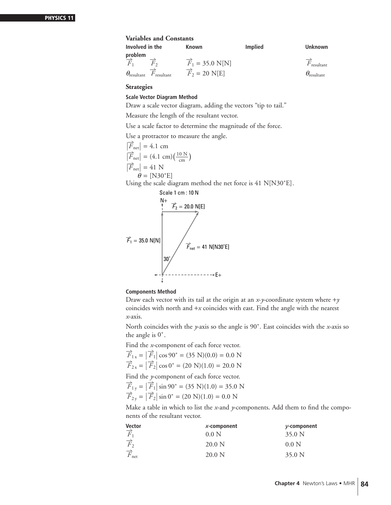#### **Variables and Constants**

| Involved in the                                    | Known                           | <b>Implied</b> | <b>Unknown</b>              |
|----------------------------------------------------|---------------------------------|----------------|-----------------------------|
| problem                                            |                                 |                |                             |
| $F_{1}$                                            | $\vec{F}_1 = 35.0 \text{ N[N]}$ |                | $F_{\text{resultant}}$      |
| $\theta_{\text{resultant}}$ $F_{\text{resultant}}$ | $\overline{F}_2 = 20$ N[E]      |                | $\theta_{\text{resultant}}$ |

#### **Strategies**

#### **Scale Vector Diagram Method**

Draw a scale vector diagram, adding the vectors "tip to tail."

Measure the length of the resultant vector.

Use a scale factor to determine the magnitude of the force.

Use a protractor to measure the angle.

$$
\begin{aligned}\n\overrightarrow{F}_{\text{net}} &= 4.1 \text{ cm} \\
\overrightarrow{F}_{\text{net}} &= (4.1 \text{ cm})(\frac{10 \text{ N}}{\text{cm}}) \\
\overrightarrow{F}_{\text{net}} &= 41 \text{ N} \\
\theta &= [\text{N30}^{\circ} \text{E}]\n\end{aligned}
$$

Using the scale diagram method the net force is 41 N[N30˚E].



#### **Components Method**

Draw each vector with its tail at the origin at an *x*-*y*-coordinate system where +*y* coincides with north and +*x* coincides with east. Find the angle with the nearest *x*-axis.

North coincides with the *y*-axis so the angle is 90˚. East coincides with the *x*-axis so the angle is 0˚.

Find the *x*-component of each force vector.

$$
\overrightarrow{F}_{1x} = |\overrightarrow{F}_1| \cos 90^\circ = (35 \text{ N})(0.0) = 0.0 \text{ N}
$$
  

$$
\overrightarrow{F}_{2x} = |\overrightarrow{F}_2| \cos 0^\circ = (20 \text{ N})(1.0) = 20.0 \text{ N}
$$

Find the *y*-component of each force vector.<br>  $\vec{E} = |\vec{E}| \sin 90^\circ = (25 \text{ N})(1.0) = 25.0 \text{ N}$ 

$$
\begin{aligned} \n\overrightarrow{F}_{1y} &= |\overrightarrow{F}_1| \sin 90^\circ = (35 \text{ N})(1.0) = 35.0 \text{ N} \\ \n\overrightarrow{F}_{2y} &= |\overrightarrow{F}_2| \sin 0^\circ = (20 \text{ N})(1.0) = 0.0 \text{ N} \n\end{aligned}
$$

Make a table in which to list the *x*-and *y*-components. Add them to find the components of the resultant vector.

| Vector                            | $X$ -component  | y-component       |
|-----------------------------------|-----------------|-------------------|
| $\overrightarrow{F}_1$            | $0.0\text{ N}$  | 35.0 <sub>N</sub> |
| $\overrightarrow{F_2}$            | $20.0\text{ N}$ | 0.0 N             |
| $\overrightarrow{F}_{\text{net}}$ | $20.0\text{ N}$ | 35.0 <sub>N</sub> |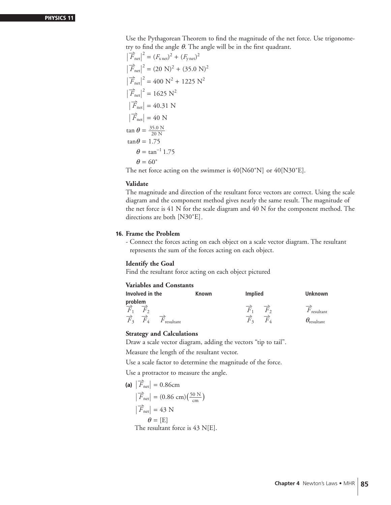Use the Pythagorean Theorem to find the magnitude of the net force. Use trigonometry to find the angle *θ*. The angle will be in the first quadrant.

$$
|\vec{F}_{net}|^2 = (F_{x net})^2 + (F_{y net})^2
$$
  
\n
$$
|\vec{F}_{net}|^2 = (20 \text{ N})^2 + (35.0 \text{ N})^2
$$
  
\n
$$
|\vec{F}_{net}|^2 = 400 \text{ N}^2 + 1225 \text{ N}^2
$$
  
\n
$$
|\vec{F}_{net}|^2 = 1625 \text{ N}^2
$$
  
\n
$$
|\vec{F}_{net}| = 40.31 \text{ N}
$$
  
\n
$$
|\vec{F}_{net}| = 40 \text{ N}
$$
  
\n
$$
\tan \theta = \frac{35.0 \text{ N}}{20 \text{ N}}
$$
  
\n
$$
\tan \theta = 1.75
$$
  
\n
$$
\theta = \tan^{-1} 1.75
$$
  
\n
$$
\theta = 60^{\circ}
$$
  
\nThe net force acting on the swimmer is 40/N60°N

The net force acting on the swimmer is 40[N60˚N] or 40[N30˚E].

#### **Validate**

The magnitude and direction of the resultant force vectors are correct. Using the scale diagram and the component method gives nearly the same result. The magnitude of the net force is 41 N for the scale diagram and 40 N for the component method. The directions are both [N30˚E].

#### **16. Frame the Problem**

- Connect the forces acting on each object on a scale vector diagram. The resultant represents the sum of the forces acting on each object.

#### **Identify the Goal**

Find the resultant force acting on each object pictured

#### **Variables and Constants**

| Involved in the              |           | Known | <b>Implied</b> |              | Unknown                   |
|------------------------------|-----------|-------|----------------|--------------|---------------------------|
| problem                      |           |       |                |              |                           |
| F<br>$F_{2}$                 |           |       | F              | $F_{\alpha}$ | F<br>' resultant          |
| $\overrightarrow{F}_3$<br>F4 | resultant |       | $F_{\rm \,2}$  | Н            | $\theta_{\rm{resultant}}$ |

#### **Strategy and Calculations**

Draw a scale vector diagram, adding the vectors "tip to tail".

Measure the length of the resultant vector.

Use a scale factor to determine the magnitude of the force.

Use a protractor to measure the angle.

(a) 
$$
|\overrightarrow{F}_{net}| = 0.86 \text{cm}
$$
  
\n $|\overrightarrow{F}_{net}| = (0.86 \text{ cm})(\frac{50 \text{ N}}{\text{cm}})$   
\n $|\overrightarrow{F}_{net}| = 43 \text{ N}$   
\n $\theta = [E]$ 

The resultant force is 43 N[E].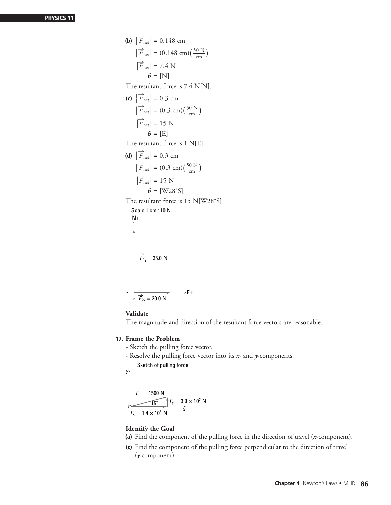**(b)** - - $\left| \overrightarrow{F}_{\text{net}} \right| = 0.148 \text{ cm}$  $\begin{array}{c} \begin{array}{c} \begin{array}{c} \end{array} \\ \begin{array}{c} \end{array} \end{array} \end{array}$  $\left| \vec{F}_{\text{net}} \right| = (0.148 \text{ cm}) \left( \frac{50 \text{ N}}{\text{cm}} \right)$  $\left| \overrightarrow{F}_{\text{net}} \right| = 7.4 \text{ N}$  $\theta$  = [N] The resultant force is 7.4 N[N]. **(c)** - - $\left| \overrightarrow{F}_{\text{net}} \right| = 0.3 \text{ cm}$  $\begin{array}{c} \begin{array}{c} \begin{array}{c} \end{array} \\ \begin{array}{c} \end{array} \end{array} \end{array}$  $\left| \vec{F}_{\text{net}} \right| = (0.3 \text{ cm}) \left( \frac{50 \text{ N}}{\text{ cm}} \right)$  $\left| \overrightarrow{F}_{\text{net}} \right| = 15 \text{ N}$  $\theta$  = [E] The resultant force is 1 N[E]. **(d)** - - $\left| \overrightarrow{F}_{\text{net}} \right| = 0.3 \text{ cm}$  $\begin{array}{c} \begin{array}{c} \begin{array}{c} \end{array} \\ \begin{array}{c} \end{array} \end{array} \end{array}$  $\left| \vec{F}_{\text{net}} \right| = (0.3 \text{ cm}) \left( \frac{50 \text{ N}}{\text{ cm}} \right)$  $\left| \overrightarrow{F}_{\text{net}} \right| = 15 \text{ N}$  $\theta$  = [W28°S] The resultant force is 15 N[W28°S]. Scale 1 cm : 10 N  $N+$  $---E+$  $\overrightarrow{F}_{1y}$  = 35.0 N

# $\overrightarrow{F}_{2x} = 20.0 \text{ N}$

#### **Validate**

The magnitude and direction of the resultant force vectors are reasonable.

#### **17. Frame the Problem**

- Sketch the pulling force vector.
- Resolve the pulling force vector into its *x-* and *y*-components. Sketch of pulling force

 $y_1$ 

$$
|\vec{F}| = 1500 \text{ N}
$$
  

$$
F_x = 1.4 \times 10^3 \text{ N}
$$
  

$$
F_x = 1.4 \times 10^3 \text{ N}
$$

#### **Identify the Goal**

- **(a)** Find the component of the pulling force in the direction of travel (*x*-component).
- **(c)** Find the component of the pulling force perpendicular to the direction of travel (*y*-component).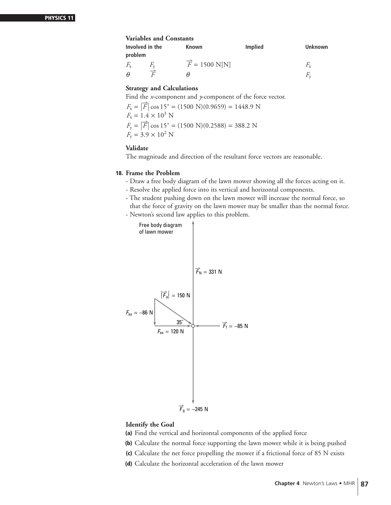#### **Variables and Constants**

| Involved in the |                    | Known                      | Implied | <b>Unknown</b> |
|-----------------|--------------------|----------------------------|---------|----------------|
| problem         |                    |                            |         |                |
| $F_{\rm x}$     | $F_{\rm v}$        | $\overline{F}$ = 1500 N[N] |         | F,             |
| н               | $\rightarrow$<br>E | н                          |         |                |

#### **Strategy and Calculations**

Find the *x*-component and *y*-component of the force vector.

$$
F_x = |\overrightarrow{F}| \cos 15^\circ = (1500 \text{ N})(0.9659) = 1448.9 \text{ N}
$$
  
\n
$$
F_x = 1.4 \times 10^3 \text{ N}
$$
  
\n
$$
F_y = |\overrightarrow{F}| \cos 15^\circ = (1500 \text{ N})(0.2588) = 388.2 \text{ N}
$$
  
\n
$$
F_y = 3.9 \times 10^2 \text{ N}
$$

#### **Validate**

The magnitude and direction of the resultant force vectors are reasonable.

#### **18. Frame the Problem**

- Draw a free body diagram of the lawn mower showing all the forces acting on it.
- Resolve the applied force into its vertical and horizontal components.
- The student pushing down on the lawn mower will increase the normal force, so that the force of gravity on the lawn mower may be smaller than the normal force.
- Newton's second law applies to this problem.



#### **Identify the Goal**

- **(a)** Find the vertical and horizontal components of the applied force
- **(b)** Calculate the normal force supporting the lawn mower while it is being pushed
- **(c)** Calculate the net force propelling the mower if a frictional force of 85 N exists
- **(d)** Calculate the horizontal acceleration of the lawn mower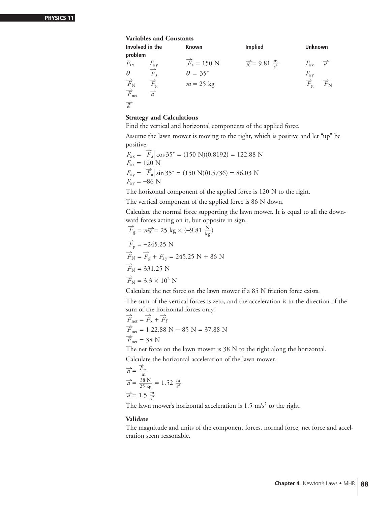#### **Variables and Constants**

| Involved in the<br>problem                                                                  |                          | <b>Known</b>                   | <b>Implied</b>                       | <b>Unknown</b>                                  |                              |
|---------------------------------------------------------------------------------------------|--------------------------|--------------------------------|--------------------------------------|-------------------------------------------------|------------------------------|
| $F_{\rm ax}$                                                                                | $F_{\rm ay}$             | $\overrightarrow{F}_a = 150$ N | $\frac{1}{g}$ = 9.81 $\frac{m}{c^2}$ | $F_{\rm ax}$                                    | $\overrightarrow{a}$         |
| $\theta$                                                                                    | $\overrightarrow{F}_a$   | $\theta = 35^{\circ}$          |                                      |                                                 |                              |
|                                                                                             | $\overrightarrow{F}_{g}$ | $m = 25$ kg                    |                                      | $\frac{F_{\rm ay}}{\overrightarrow{F}_{\rm g}}$ | $\overrightarrow{F}_{\rm N}$ |
| $\begin{array}{c}\n\overrightarrow{F}_{\rm N} \\ \overrightarrow{F}_{\rm net}\n\end{array}$ | $\overrightarrow{a}$     |                                |                                      |                                                 |                              |
| $\overrightarrow{g}$                                                                        |                          |                                |                                      |                                                 |                              |

#### **Strategy and Calculations**

Find the vertical and horizontal components of the applied force.

Assume the lawn mower is moving to the right, which is positive and let "up" be positive.

$$
F_{ax} = |\overrightarrow{F}_a| \cos 35^\circ = (150 \text{ N})(0.8192) = 122.88 \text{ N}
$$
  
\n
$$
F_{ax} = 120 \text{ N}
$$
  
\n
$$
F_{ay} = |\overrightarrow{F}_a| \sin 35^\circ = (150 \text{ N})(0.5736) = 86.03 \text{ N}
$$
  
\n
$$
F_{ay} = -86 \text{ N}
$$

The horizontal component of the applied force is 120 N to the right.

The vertical component of the applied force is 86 N down.

Calculate the normal force supporting the lawn mower. It is equal to all the downward forces acting on it, but opposite in sign.

$$
\vec{F}_{\text{g}} = m\vec{g} = 25 \text{ kg} \times (-9.81 \frac{\text{N}}{\text{kg}})
$$
  

$$
\vec{F}_{\text{g}} = -245.25 \text{ N}
$$
  

$$
\vec{F}_{\text{N}} = \vec{F}_{\text{g}} + F_{\text{ay}} = 245.25 \text{ N} + 86 \text{ N}
$$
  

$$
\vec{F}_{\text{N}} = 331.25 \text{ N}
$$
  

$$
\vec{F}_{\text{N}} = 3.3 \times 10^2 \text{ N}
$$

Calculate the net force on the lawn mower if a 85 N friction force exists.

The sum of the vertical forces is zero, and the acceleration is in the direction of the sum of the horizontal forces only.

$$
\overrightarrow{F}_{net} = \overrightarrow{F}_x + \overrightarrow{F}_f
$$
  
\n
$$
\overrightarrow{F}_{net} = 1.22.88 \text{ N} - 85 \text{ N} = 37.88 \text{ N}
$$
  
\n
$$
\overrightarrow{F}_{net} = 38 \text{ N}
$$

The net force on the lawn mower is 38 N to the right along the horizontal.

Calculate the horizontal acceleration of the lawn mower.

$$
\overrightarrow{a} = \frac{\overrightarrow{F}_{net}}{m}
$$
  
\n
$$
\overrightarrow{a} = \frac{38 \text{ N}}{25 \text{ kg}} = 1.52 \frac{\text{m}}{\text{s}^2}
$$
  
\n
$$
\overrightarrow{a} = 1.5 \frac{\text{m}}{\text{s}^2}
$$

The lawn mower's horizontal acceleration is  $1.5 \text{ m/s}^2$  to the right.

#### **Validate**

The magnitude and units of the component forces, normal force, net force and acceleration seem reasonable.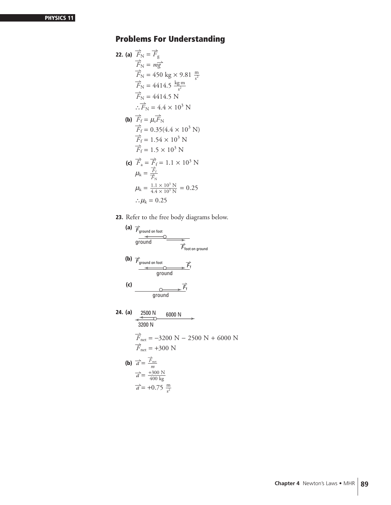# **Problems For Understanding**

**22. (a)** 
$$
\overrightarrow{F}_{N} = \overrightarrow{F}_{g}
$$
  
\n $\overrightarrow{F}_{N} = m\overrightarrow{g}$   
\n $\overrightarrow{F}_{N} = 450 \text{ kg} \times 9.81 \frac{\text{m}}{s^{2}}$   
\n $\overrightarrow{F}_{N} = 4414.5 \frac{\text{kg} \cdot \text{m}}{s^{2}}$   
\n $\overrightarrow{F}_{N} = 4414.5 \text{ N}$   
\n $\therefore \overrightarrow{F}_{N} = 4.4 \times 10^{3} \text{ N}$   
\n**(b)**  $\overrightarrow{F}_{f} = \mu_{s} \overrightarrow{F}_{N}$   
\n $\overrightarrow{F}_{f} = 0.35(4.4 \times 10^{3} \text{ N})$   
\n $\overrightarrow{F}_{f} = 1.54 \times 10^{3} \text{ N}$   
\n $\overrightarrow{F}_{f} = 1.5 \times 10^{3} \text{ N}$   
\n**(c)**  $\overrightarrow{F}_{a} = \overrightarrow{F}_{f} = 1.1 \times 10^{3} \text{ N}$   
\n $\mu_{k} = \frac{\overrightarrow{F}_{f}}{\overrightarrow{F}_{N}}$   
\n $\mu_{k} = \frac{1.1 \times 10^{3} \text{ N}}{4.4 \times 10^{3} \text{ N}} = 0.25$   
\n $\therefore \mu_{k} = 0.25$ 

**23.** Refer to the free body diagrams below.

(a) 
$$
\overrightarrow{F}_{ground on foot}
$$
  
\n $\overrightarrow{F}_{forward on foot}$   
\n(b)  $\overrightarrow{F}_{ground on foot}$   
\n $\overrightarrow{F}_{ground}$   
\n $\overrightarrow{F}_{ground}$   
\n(c)  $\overrightarrow{F}_{ground}$   
\n $\overrightarrow{F}_{ground}$   
\n24. (a)  $\overrightarrow{2500 N}$  6000 N  
\n $\overrightarrow{3200 N}$   
\n $\overrightarrow{F}_{net} = -3200 N - 2500 N + 6000 N$   
\n $\overrightarrow{F}_{net} = +300 N$   
\n(b)  $\overrightarrow{a} = \frac{\overrightarrow{F}_{net}}{m}$ 

$$
\vec{a} = \frac{\vec{F}_{\text{net}}}{m}
$$

$$
\vec{a} = \frac{+300 \text{ N}}{400 \text{ kg}}
$$

$$
\vec{a} = +0.75 \frac{\text{m}}{\text{s}^2}
$$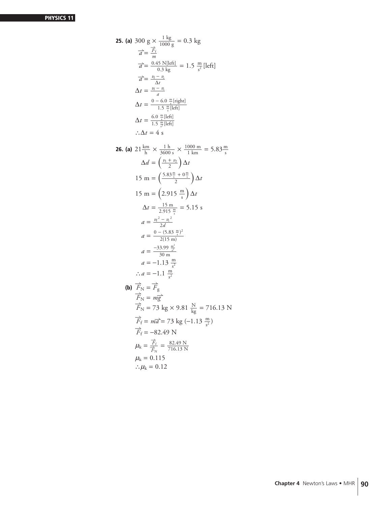25. (a) 300 g × 
$$
\frac{1 \text{ kg}}{1000 \text{ g}}
$$
 = 0.3 kg  
\n $\vec{a} = \frac{\vec{F}_f}{m}$   
\n $\vec{a} = \frac{0.45 \text{ N}[\text{left}]}{0.3 \text{ kg}}$  = 1.5  $\frac{\text{m}}{s^2}$  [left]  
\n $\vec{a} = \frac{v_f - v_i}{\Delta t}$   
\n $\Delta t = \frac{v_f - v_i}{1.5 \frac{\text{m}}{s} [\text{left}]}$   
\n $\Delta t = \frac{0.6 \frac{\text{m}}{s} [\text{left}]}{1.5 \frac{\text{m}}{s} [\text{left}]}$   
\n $\therefore \Delta t = 4 \text{ s}$   
\n26. (a) 21  $\frac{\text{km}}{\text{h}} \times \frac{1 \text{h}}{3600 \text{ s}} \times \frac{1000 \text{ m}}{1 \text{ km}} = 5.83 \frac{\text{m}}{\text{s}}$   
\n $\Delta d = \left(\frac{v_1 + v_2}{2}\right) \Delta t$   
\n15 m =  $\left(\frac{5.83 \frac{\text{m}}{\text{s}} + 0 \frac{\text{m}}{\text{s}}}{2}\right) \Delta t$   
\n15 m =  $\left(2.915 \frac{\text{m}}{\text{s}}\right) \Delta t$   
\n $\Delta t = \frac{15 \text{ m}}{2.915 \frac{\text{m}}{\text{s}}} = 5.15 \text{ s}$   
\n $a = \frac{v_f^2 - v_i^2}{2(15 \text{ m})}$   
\n $a = \frac{-33.99 \frac{\text{m}^2}{s^2}}{30 \text{ m}}$   
\n $a = -1.13 \frac{\text{m}}{s^2}$   
\n $\therefore a = -1.1 \frac{\text{m}}{s^2}$   
\n(b)  $\vec{F}_N = \vec{F}_g$   
\n $\vec{F}_N = m\vec{g}$   
\n $\vec{F}_N = m\vec{g}$   
\n $\vec{F}_F = m\vec{a} = 73 \text{ kg} \times 9.81 \frac{\text{N}}{\text{kg}} = 71$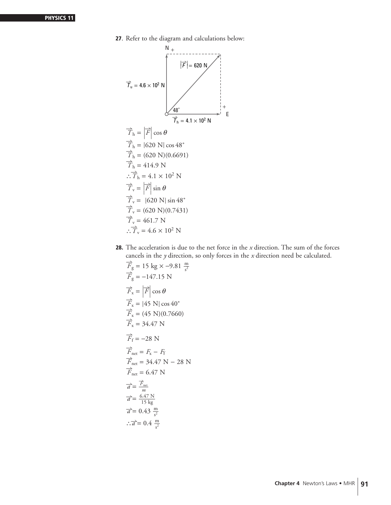**27**. Refer to the diagram and calculations below:

$$
\overrightarrow{T}_{u} = 4.6 \times 10^{2} \text{ N}
$$
\n
$$
\overrightarrow{T}_{h} = |\overrightarrow{F}| \cos \theta
$$
\n
$$
\overrightarrow{T}_{h} = |620 \text{ N}| \cos 48^{\circ}
$$
\n
$$
\overrightarrow{T}_{h} = (620 \text{ N}) (\cos 48^{\circ}
$$
\n
$$
\overrightarrow{T}_{h} = (620 \text{ N}) (0.6691)
$$
\n
$$
\overrightarrow{T}_{h} = 414.9 \text{ N}
$$
\n
$$
\overrightarrow{T}_{v} = |\overrightarrow{F}| \sin \theta
$$
\n
$$
\overrightarrow{T}_{v} = |620 \text{ N}| \sin 48^{\circ}
$$
\n
$$
\overrightarrow{T}_{v} = (620 \text{ N}) (0.7431)
$$
\n
$$
\overrightarrow{T}_{v} = 461.7 \text{ N}
$$
\n
$$
\overrightarrow{T}_{v} = 46 \times 10^{2} \text{ N}
$$

**28.** The acceleration is due to the net force in the *x* direction. The sum of the forces cancels in the *<sup>y</sup>* direction, so only forces in the *<sup>x</sup>* direction need be calculated. -

$$
\vec{F}_{g} = 15 \text{ kg} \times -9.81 \frac{\text{m}}{s^{2}}
$$
\n
$$
\vec{F}_{g} = -147.15 \text{ N}
$$
\n
$$
\vec{F}_{x} = |\vec{F}| \cos \theta
$$
\n
$$
\vec{F}_{x} = (45 \text{ N})(0.7660)
$$
\n
$$
\vec{F}_{x} = 34.47 \text{ N}
$$
\n
$$
\vec{F}_{f} = -28 \text{ N}
$$
\n
$$
\vec{F}_{f} = -28 \text{ N}
$$
\n
$$
\vec{F}_{net} = F_{x} - F_{f}
$$
\n
$$
\vec{F}_{net} = 34.47 \text{ N} - 28 \text{ N}
$$
\n
$$
\vec{F}_{net} = 6.47 \text{ N}
$$
\n
$$
\vec{a} = \frac{\vec{F}_{net}}{m}
$$
\n
$$
\vec{a} = \frac{6.47 \text{ N}}{15 \text{ kg}}
$$
\n
$$
\vec{a} = 0.43 \frac{\text{m}}{s^{2}}
$$
\n
$$
\therefore \vec{a} = 0.4 \frac{\text{m}}{s^{2}}
$$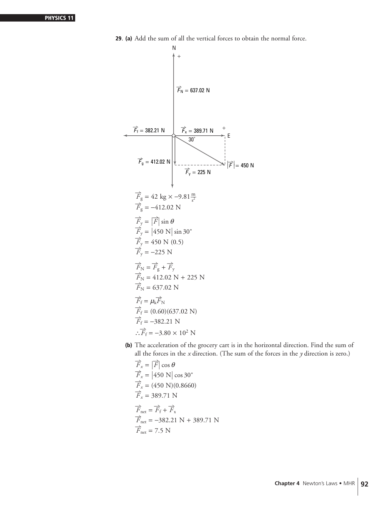

**29**. **(a)** Add the sum of all the vertical forces to obtain the normal force.

**(b)** The acceleration of the grocery cart is in the horizontal direction. Find the sum of all the forces in the *x* direction. (The sum of the forces in the *y* direction is zero.)

$$
\overrightarrow{F}_x = |\overrightarrow{F}| \cos \theta
$$
  
\n
$$
\overrightarrow{F}_x = |450 \text{ N}| \cos 30^{\circ}
$$
  
\n
$$
\overrightarrow{F}_x = (450 \text{ N})(0.8660)
$$
  
\n
$$
\overrightarrow{F}_x = 389.71 \text{ N}
$$
  
\n
$$
\overrightarrow{F}_{\text{net}} = \overrightarrow{F}_f + \overrightarrow{F}_x
$$
  
\n
$$
\overrightarrow{F}_{\text{net}} = -382.21 \text{ N} + 389.71 \text{ N}
$$
  
\n
$$
\overrightarrow{F}_{\text{net}} = 7.5 \text{ N}
$$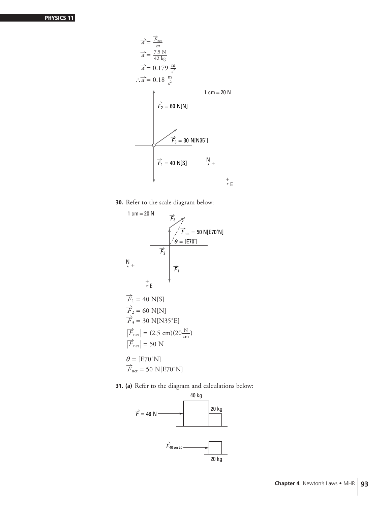$$
\vec{a} = \frac{\vec{F}_{net}}{m}
$$
\n
$$
\vec{a} = \frac{7.5 \text{ N}}{42 \text{ kg}}
$$
\n
$$
\vec{a} = 0.179 \frac{\text{m}}{\text{s}^2}
$$
\n
$$
\therefore \vec{a} = 0.18 \frac{\text{m}}{\text{s}^2}
$$
\n
$$
\vec{F}_2 = 60 \text{ N[N]}
$$
\n
$$
\vec{F}_3 = 30 \text{ N[N35°]}
$$
\n
$$
\vec{F}_1 = 40 \text{ N[S]}
$$

**30.** Refer to the scale diagram below:



**31. (a)** Refer to the diagram and calculations below:

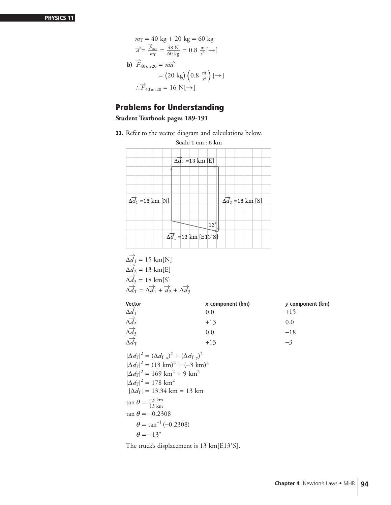$$
m_{\text{T}} = 40 \text{ kg} + 20 \text{ kg} = 60 \text{ kg}
$$

$$
\vec{a} = \frac{\vec{F}_{\text{net}}}{m_{\text{T}}} = \frac{48 \text{ N}}{60 \text{ kg}} = 0.8 \frac{\text{m}}{s^2} [\rightarrow]
$$
**b)**  $\vec{F}_{40 \text{ on } 20} = m\vec{a}$ 
$$
= (20 \text{ kg}) (0.8 \frac{\text{m}}{s^2}) [\rightarrow]
$$

$$
\therefore \vec{F}_{40 \text{ on } 20} = 16 \text{ N} [\rightarrow]
$$

## **Problems for Understanding**

**Student Textbook pages 189-191**

**33.** Refer to the vector diagram and calculations below.

| Scale 1 cm : 5 km                                                   |                                           |  |  |
|---------------------------------------------------------------------|-------------------------------------------|--|--|
| $\overline{\Delta d_2}$ =13 km [E]                                  |                                           |  |  |
|                                                                     |                                           |  |  |
| $\Delta \vec{d}_1$ = 15 km [N]                                      | $\overrightarrow{\Delta d_3}$ = 18 km [S] |  |  |
| 13°<br>$\Delta d_T = 13 \text{ km}   \text{[E13}^{\circ} \text{S}]$ |                                           |  |  |

$$
\Delta \overrightarrow{d_1} = 15 \text{ km[N]}
$$
  
\n
$$
\Delta \overrightarrow{d_2} = 13 \text{ km[E]}
$$
  
\n
$$
\Delta \overrightarrow{d_3} = 18 \text{ km[S]}
$$
  
\n
$$
\Delta \overrightarrow{d_T} = \Delta \overrightarrow{d_1} + \overrightarrow{d_2} + \Delta \overrightarrow{d_3}
$$

|                                                                                       | $x$ -component (km) | $v$ -component (km) |
|---------------------------------------------------------------------------------------|---------------------|---------------------|
| Vector<br>$\frac{\triangle d_1}{\triangle d_1}$                                       | 0.0                 | $+15$               |
| $\begin{array}{c}\n\Delta u_1 \\ \Delta d_2 \\ \Delta d_3 \\ \Delta d_3\n\end{array}$ | $+13$               | 0.0                 |
|                                                                                       | 0.0                 | $-18$               |
| $\Delta d$ t                                                                          | $+13$               | $-3$                |

$$
|\Delta d_{\rm T}|^2 = (\Delta d_{\rm T}^2)^2 + (\Delta d_{\rm T}^2)^2
$$
  
\n
$$
|\Delta d_{\rm T}|^2 = (13 \text{ km})^2 + (-3 \text{ km})^2
$$
  
\n
$$
|\Delta d_{\rm T}|^2 = 169 \text{ km}^2 + 9 \text{ km}^2
$$
  
\n
$$
|\Delta d_{\rm T}|^2 = 178 \text{ km}^2
$$
  
\n
$$
|\Delta d_{\rm T}| = 13.34 \text{ km} = 13 \text{ km}
$$
  
\n
$$
\tan \theta = \frac{-3 \text{ km}}{13 \text{ km}}
$$
  
\n
$$
\tan \theta = -0.2308
$$
  
\n
$$
\theta = \tan^{-1}(-0.2308)
$$
  
\n
$$
\theta = -13^\circ
$$

The truck's displacement is 13 km[E13˚S].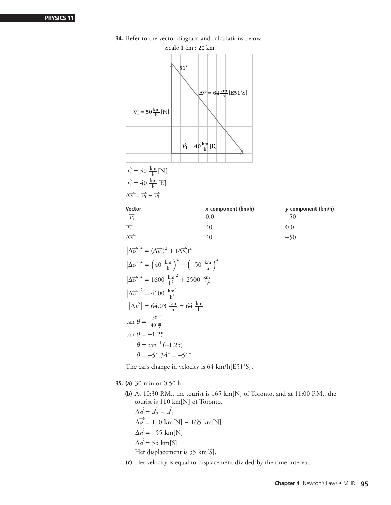- **34.** Refer to the vector diagram and calculations below.  $\overrightarrow{v_i}$  = 50  $\frac{\text{km}}{\text{h}}$  [N]  $\overrightarrow{v_{f}}$  = 40  $\frac{\text{km}}{\text{h}}$ [E]  $\Delta \overrightarrow{v} = \overrightarrow{v_{f}} - \overrightarrow{v_{i}}$ **Vector** *x***-component (km/h)** *y***-component (km/h)**  $-\overrightarrow{v_i}$  $\overrightarrow{v_i}$  0.0 −50  $\overrightarrow{v_{f}}$  $\overrightarrow{v_{f}}$  40 0.0  $\Delta \vec{v}$  $\overrightarrow{v}$  40 −50  $\left|\Delta \overrightarrow{v}\right|^2 = (\Delta \overrightarrow{v_x})^2 + (\Delta \overrightarrow{v_y})^2$  $\left|\Delta \overrightarrow{v}\right|^2 = \left(40 \frac{\text{km}}{\text{h}}\right)$  $\int_{}^{2} + \left( -50 \frac{\text{km}}{\text{h}} \right)$  $\lambda^2$  $\left|\Delta \vec{v}\right|^2 = 1600 \frac{\text{km}}{\text{h}^2}$  $^{2}$  + 2500  $\frac{\text{km}^{2}}{\text{h}^{2}}$  $\left| \Delta \vec{v} \right|^2 = 4100 \frac{\text{km}^2}{h^2}$  $\left| \Delta \overrightarrow{v} \right|$  = 64.03  $\frac{\text{km}}{\text{h}}$  = 64  $\frac{\text{km}}{\text{h}}$  $\tan \theta = \frac{-50 \frac{m}{s}}{40 \frac{m}{s}}$ tan  $\theta$  =  $-1.25$  $\theta = \tan^{-1}(-1.25)$  $\theta = -51.34^{\circ} = -51^{\circ}$ The car's change in velocity is 64 km/h[E51˚S]. **35. (a)** 30 min or 0.50 h Scale 1 cm : 20 km  $\Delta \vec{v} = 64 \frac{\text{km}}{\text{h}} [\text{E51} \text{°S}]$  $\overrightarrow{v_i}$  = 50 $\frac{\text{km}}{\text{h}}$ [N]  $\overrightarrow{v_f} = 40 \frac{\text{km}}{\text{h}}$ [E] 51˚
	- **(b)** At 10:30 P.M., the tourist is 165 km[N] of Toronto, and at 11:00 P.M., the tourist is 110 km[N] of Toronto.

 $\Delta \vec{d} = \vec{d}_2 - \vec{d}_1$  $\Delta \vec{d} = 110 \text{ km}[\text{N}] - 165 \text{ km}[\text{N}]$  $\Delta \vec{d}$  = −55 km[N]  $\Delta \vec{d}$  = 55 km[S] Her displacement is 55 km[S].

**(c)** Her velocity is equal to displacement divided by the time interval.

**Chapter 4** Newton's Laws • MHR 95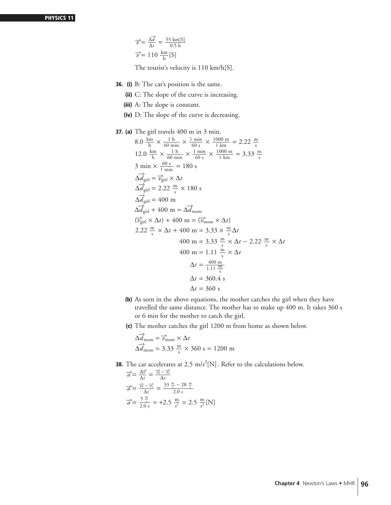$$
\overrightarrow{v} = \frac{\Delta d}{\Delta t} = \frac{55 \text{ km[S]}}{0.5 \text{ h}}
$$

$$
\overrightarrow{v} = 110 \frac{\text{km}}{\text{h}} [\text{S}]
$$

The tourist's velocity is 110 km/h[S].

- **36. (i)** B: The car's position is the same.
	- **(ii)** C: The slope of the curve is increasing.
	- **(iii)** A: The slope is constant.
	- **(iv)** D: The slope of the curve is decreasing.
- **37. (a)** The girl travels 400 m in 3 min.

8.0 
$$
\frac{\text{km}}{\text{h}} \times \frac{1 \text{ h}}{60 \text{ min}} \times \frac{1 \text{ min}}{60 \text{ s}} \times \frac{1000 \text{ m}}{1 \text{ km}} = 2.22 \frac{\text{m}}{\text{s}}
$$
  
\n12.0  $\frac{\text{km}}{\text{h}} \times \frac{1 \text{ h}}{60 \text{ min}} \times \frac{1 \text{ min}}{60 \text{ s}} \times \frac{1000 \text{ m}}{1 \text{ km}} = 3.33 \frac{\text{m}}{\text{s}}$   
\n3 min  $\times \frac{60 \text{ s}}{1 \text{ min}} = 180 \text{ s}$   
\n $\Delta d_{\text{gil}} = \overrightarrow{v_{\text{gil}}} \times \Delta t$   
\n $\Delta d_{\text{gil}} = 2.22 \frac{\text{m}}{\text{s}} \times 180 \text{ s}$   
\n $\Delta d_{\text{gil}} = 400 \text{ m}$   
\n $\Delta d_{\text{gil}} + 400 \text{ m} = \Delta d_{\text{mom}}$   
\n $(\overrightarrow{v_{\text{gil}}} \times \Delta t) + 400 \text{ m} = (\overrightarrow{v_{\text{mom}}} \times \Delta t)$   
\n2.22  $\frac{\text{m}}{\text{s}} \times \Delta t + 400 \text{ m} = 3.33 \times \frac{\text{m}}{\text{s}} \Delta t$   
\n $400 \text{ m} = 3.33 \frac{\text{m}}{\text{s}} \times \Delta t - 2.22 \frac{\text{m}}{\text{s}} \times \Delta t$   
\n $400 \text{ m} = 1.11 \frac{\text{m}}{\text{s}} \times \Delta t$   
\n $\Delta t = \frac{400 \text{ m}}{1.11 \frac{\text{m}}{\text{s}}}$   
\n $\Delta t = 360.4 \text{ s}$   
\n $\Delta t = 360 \text{ s}$ 

- **(b)** As seen in the above equations, the mother catches the girl when they have travelled the same distance. The mother has to make up 400 m. It takes 360 s or 6 min for the mother to catch the girl.
- **(c)** The mother catches the girl 1200 m from home as shown below.

$$
\Delta \vec{d}_{\text{mom}} = \vec{v}_{\text{mom}} \times \Delta t
$$

$$
\Delta \vec{d}_{\text{mom}} = 3.33 \frac{\text{m}}{\text{s}} \times 360 \text{ s} = 1200 \text{ m}
$$

**38.** The car accelerates at 2.5  $\text{m/s}^2[\text{N}]$ . Refer to the calculations below.

$$
\overrightarrow{a} = \frac{\Delta \overrightarrow{v}}{\Delta t} = \frac{\overrightarrow{v_f} - \overrightarrow{v_i}}{\Delta t}
$$

$$
\overrightarrow{a} = \frac{\overrightarrow{v_f} - \overrightarrow{v_i}}{\Delta t} = \frac{33 \frac{\text{m}}{\text{s}} - 28 \frac{\text{m}}{\text{s}}}{2.0 \text{ s}}
$$

$$
\overrightarrow{a} = \frac{5 \frac{\text{m}}{\text{s}}}{2.0 \text{ s}} = +2.5 \frac{\text{m}}{\text{s}^2} = 2.5 \frac{\text{m}}{\text{s}^2} \text{[N]}
$$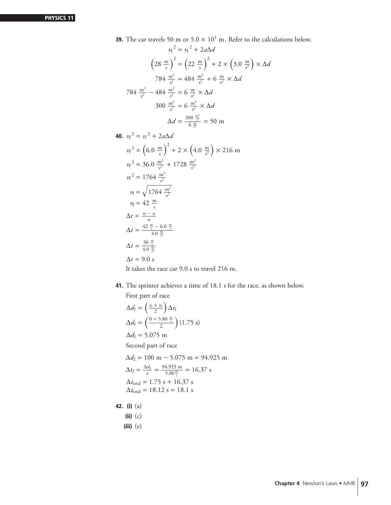**39.** The car travels 50 m or  $5.0 \times 10^1$  m. Refer to the calculations below.  $v_f^2 = v_i^2 + 2a\Delta a$ 

$$
\left(28 \frac{\text{m}}{\text{s}}\right)^2 = \left(22 \frac{\text{m}}{\text{s}}\right)^2 + 2 \times \left(3.0 \frac{\text{m}}{\text{s}^2}\right) \times \Delta d
$$
  
784  $\frac{\text{m}^2}{\text{s}^2} = 484 \frac{\text{m}^2}{\text{s}^2} + 6 \frac{\text{m}}{\text{s}^2} \times \Delta d$   
784  $\frac{\text{m}^2}{\text{s}^2} - 484 \frac{\text{m}^2}{\text{s}^2} = 6 \frac{\text{m}}{\text{s}^2} \times \Delta d$   
300  $\frac{\text{m}^2}{\text{s}^2} = 6 \frac{\text{m}^2}{\text{s}^2} \times \Delta d$   
 $\Delta d = \frac{300 \frac{\text{m}^2}{\text{s}^2}}{6 \frac{\text{m}}{\text{s}^2}} = 50 \text{ m}$ 

**40.** 
$$
v_f^2 = v_i^2 + 2a\Delta d
$$
  
\n $v_f^2 = (6.0 \frac{m}{s})^2 + 2 \times (4.0 \frac{m}{s^2}) \times 216 \text{ m}$   
\n $v_f^2 = 36.0 \frac{m^2}{s^2} + 1728 \frac{m^2}{s^2}$   
\n $v_f^2 = 1764 \frac{m^2}{s^2}$   
\n $v_f = \sqrt{1764 \frac{m^2}{s^2}}$   
\n $v_f = 42 \frac{m}{s}$   
\n $\Delta t = \frac{v_f - v_i}{a}$   
\n $\Delta t = \frac{42 \frac{m}{s} - 6.0 \frac{m}{s}}{4.0 \frac{m}{s^2}}$   
\n $\Delta t = \frac{36 \frac{m}{s}}{4.0 \frac{m}{s^2}}$   
\n $\Delta t = 9.0 \text{ s}$ 

It takes the race car 9.0 s to travel 216 m.

**41.** The sprinter achieves a time of 18.1 s for the race, as shown below.

First part of race

$$
\Delta d_1 = \left(\frac{v_1 + v_2}{2}\right) \Delta t_1
$$
  
\n
$$
\Delta d_1 = \left(\frac{0 + 5.80 \frac{m}{s}}{2}\right) (1.75 \text{ s})
$$
  
\n
$$
\Delta d_1 = 5.075 \text{ m}
$$
  
\nSecond part of race  
\n
$$
\Delta d_2 = 100 \text{ m} - 5.075 \text{ m} = 94.925 \text{ m}
$$
  
\n
$$
\Delta t_2 = \frac{\Delta d_2}{v} = \frac{94.925 \text{ m}}{5.80 \frac{m}{s}} = 16.37 \text{ s}
$$
  
\n
$$
\Delta t_{\text{total}} = 1.75 \text{ s} + 16.37 \text{ s}
$$
  
\n
$$
\Delta t_{\text{total}} = 18.12 \text{ s} = 18.1 \text{ s}
$$
  
\n(i) (a)

**(ii)** (c)

**42. (i)** (a)

**(iii)** (e)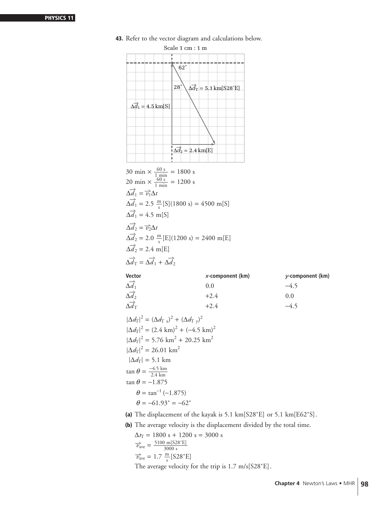

**43.** Refer to the vector diagram and calculations below.

$$
\Delta \vec{d}_{\text{T}} +2.4
$$
  
\n
$$
|\Delta d_{\text{T}}|^2 = (\Delta d_{\text{T}})^2 + (\Delta d_{\text{T}})^2
$$
  
\n
$$
|\Delta d_{\text{T}}|^2 = (2.4 \text{ km})^2 + (-4.5 \text{ km})^2
$$
  
\n
$$
|\Delta d_{\text{T}}|^2 = 5.76 \text{ km}^2 + 20.25 \text{ km}^2
$$
  
\n
$$
|\Delta d_{\text{T}}|^2 = 26.01 \text{ km}^2
$$
  
\n
$$
|\Delta d_{\text{T}}| = 5.1 \text{ km}
$$
  
\n
$$
\tan \theta = \frac{-4.5 \text{ km}}{2.4 \text{ km}}
$$
  
\n
$$
\tan \theta = -1.875
$$
  
\n
$$
\theta = \tan^{-1}(-1.875)
$$
  
\n
$$
\theta = -61.93^\circ = -62^\circ
$$

**(a)** The displacement of the kayak is 5.1 km[S28˚E] or 5.1 km[E62˚S].

**(b)** The average velocity is the displacement divided by the total time.

$$
\Delta t_{\rm T} = 1800 \text{ s} + 1200 \text{ s} = 3000 \text{ s}
$$
  
\n
$$
\overrightarrow{v}_{\rm ave} = \frac{5100 \text{ m}[S28^{\circ}E]}{3000 \text{ s}}
$$
  
\n
$$
\overrightarrow{v}_{\rm ave} = 1.7 \frac{\text{m}}{\text{s}}[S28^{\circ}E]
$$
  
\nThe average velocity for the trip is 1.7 m/s[S28°E].

**Chapter 4** Newton's Laws • MHR 98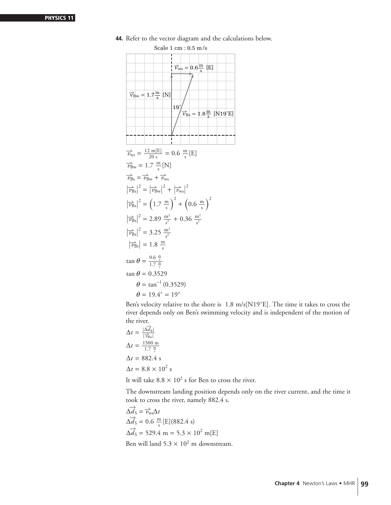| $Scale\ 1\ cm: 0.5\ m/s$                                                                                                                                                                                                               |
|----------------------------------------------------------------------------------------------------------------------------------------------------------------------------------------------------------------------------------------|
| $\overrightarrow{V}_{\text{ws}} = 0.6 \frac{\text{m}}{\text{s}}$ [E]<br>$\overrightarrow{v}_{\text{Bw}} = 1.7 \frac{\text{m}}{\text{s}}$ [N]<br>$19^\circ$<br>$\overrightarrow{v}_{\text{Bs}} = 1.8 \frac{\text{m}}{\text{s}}$ [N19°E] |
|                                                                                                                                                                                                                                        |
| $\vec{v}_{\text{ws}} = \frac{12 \text{ m[E]}}{20 \text{ s}} = 0.6 \frac{\text{m}}{\text{s}}$ [E]                                                                                                                                       |
| $\overrightarrow{v}_{Bw} = 1.7 \frac{m}{s}$ [N]                                                                                                                                                                                        |
| $\overrightarrow{v}_{\text{Rs}} = \overrightarrow{v}_{\text{Bw}} + \overrightarrow{v}_{\text{ws}}$                                                                                                                                     |
| $\left \overrightarrow{v}_{\text{Bs}}\right ^2 = \left \overrightarrow{v}_{\text{Bw}}\right ^2 + \left \overrightarrow{v}_{\text{ws}}\right ^2$                                                                                        |
| $\left \overrightarrow{v}_{\text{Bs}}\right ^2 = \left(1.7 \frac{\text{m}}{\text{s}}\right)^2 + \left(0.6 \frac{\text{m}}{\text{s}}\right)^2$                                                                                          |
| $\left \overrightarrow{v_{\rm Bs}}\right ^2 = 2.89 \frac{\text{m}^2}{c^2} + 0.36 \frac{\text{m}^2}{c^2}$                                                                                                                               |
| $ \vec{v}_{\text{Bs}} ^2 = 3.25 \frac{\text{m}^2}{s^2}$                                                                                                                                                                                |
| $\left \overrightarrow{v_{\text{Bs}}}\right  = 1.8 \frac{\text{m}}{\text{s}}$                                                                                                                                                          |
| $\tan \theta = \frac{0.6 \frac{m}{s}}{1.7 \frac{m}{s}}$                                                                                                                                                                                |
| $\tan \theta = 0.3529$                                                                                                                                                                                                                 |
| $\theta = \tan^{-1}(0.3529)$                                                                                                                                                                                                           |
| $\theta = 19.4^{\circ} = 19^{\circ}$                                                                                                                                                                                                   |

**44.** Refer to the vector diagram and the calculations below.

Ben's velocity relative to the shore is 1.8 m/s[N19˚E]. The time it takes to cross the river depends only on Ben's swimming velocity and is independent of the motion of the river.

$$
\Delta t = \frac{|\Delta \vec{d}_{\text{R}}|}{|\vec{v}_{\text{Bw}}|}
$$
  
\n
$$
\Delta t = \frac{1500 \text{ m}}{1.7 \frac{\text{m}}{\text{s}}}
$$
  
\n
$$
\Delta t = 882.4 \text{ s}
$$
  
\n
$$
\Delta t = 8.8 \times 10^2 \text{ s}
$$

It will take  $8.8 \times 10^2$  s for Ben to cross the river.

The downstream landing position depends only on the river current, and the time it took to cross the river, namely 882.4 s.

$$
\Delta \overrightarrow{d_S} = \overrightarrow{v_{ws}} \Delta t
$$
  
\n
$$
\Delta \overrightarrow{d_S} = 0.6 \frac{m}{s} [E] (882.4 \text{ s})
$$
  
\n
$$
\Delta \overrightarrow{d_S} = 529.4 \text{ m} = 5.3 \times 10^2 \text{ m} [E]
$$
  
\nBen will land 5.3 × 10<sup>2</sup> m downstream.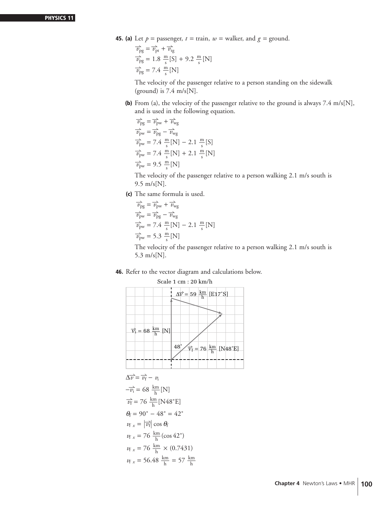**45. (a)** Let  $p =$  passenger,  $t =$  train,  $w =$  walker, and  $q =$  ground.

 $\overrightarrow{v}_{pg} = \overrightarrow{v}_{pt} + \overrightarrow{v}_{tg}$  $\frac{1}{v_{\text{pg}}}$  = 1.8  $\frac{\text{m}}{\text{s}}$  [S] + 9.2  $\frac{\text{m}}{\text{s}}$  [N]  $\overrightarrow{v}_{pg} = 7.4 \frac{m}{s} [N]$ 

The velocity of the passenger relative to a person standing on the sidewalk (ground) is  $7.4 \text{ m/s}$ [N].

**(b)** From (a), the velocity of the passenger relative to the ground is always 7.4 m/s[N], and is used in the following equation.

 $\overrightarrow{v}_{\text{pg}} = \overrightarrow{v}_{\text{pw}} + \overrightarrow{v}_{\text{wg}}$  $\overrightarrow{v}_{\text{pw}} = \overrightarrow{v}_{\text{pg}} - \overrightarrow{v}_{\text{wg}}$  $\frac{1}{v_{\text{pw}}}$  = 7.4  $\frac{m}{s}$  [N] – 2.1  $\frac{m}{s}$  [S]  $\vec{v}_{\text{pw}} = 7.4 \frac{\text{m}}{\text{s}}[\text{N}] + 2.1 \frac{\text{m}}{\text{s}}[\text{N}]$  $\overrightarrow{v}_{\text{pw}} = 9.5 \frac{\text{m}}{\text{s}}[\text{N}]$ 

The velocity of the passenger relative to a person walking 2.1 m/s south is 9.5 m/s[N].

**(c)** The same formula is used.

$$
\overrightarrow{v}_{pg} = \overrightarrow{v}_{pw} + \overrightarrow{v}_{wg}
$$
\n
$$
\overrightarrow{v}_{pw} = \overrightarrow{v}_{pg} - \overrightarrow{v}_{wg}
$$
\n
$$
\overrightarrow{v}_{pw} = 7.4 \frac{m}{s} [N] - 2.1 \frac{m}{s} [N]
$$
\n
$$
\overrightarrow{v}_{pw} = 5.3 \frac{m}{s} [N]
$$

The velocity of the passenger relative to a person walking 2.1 m/s south is 5.3 m/s[N].

#### **46.** Refer to the vector diagram and calculations below.



$$
\Delta \overrightarrow{v} = \overrightarrow{v_{f}} - v_{i}
$$
  
\n
$$
-\overrightarrow{v_{i}} = 68 \frac{\text{km}}{\text{h}} [\text{N}]
$$
  
\n
$$
\overrightarrow{v_{f}} = 76 \frac{\text{km}}{\text{h}} [\text{N48} \cdot \text{E}]
$$
  
\n
$$
\theta_{f} = 90^{\circ} - 48^{\circ} = 42^{\circ}
$$
  
\n
$$
v_{f x} = |\overrightarrow{v_{f}}| \cos \theta_{f}
$$
  
\n
$$
v_{f x} = 76 \frac{\text{km}}{\text{h}} (\cos 42^{\circ})
$$
  
\n
$$
v_{f x} = 76 \frac{\text{km}}{\text{h}} \times (0.7431)
$$
  
\n
$$
v_{f x} = 56.48 \frac{\text{km}}{\text{h}} = 57 \frac{\text{km}}{\text{h}}
$$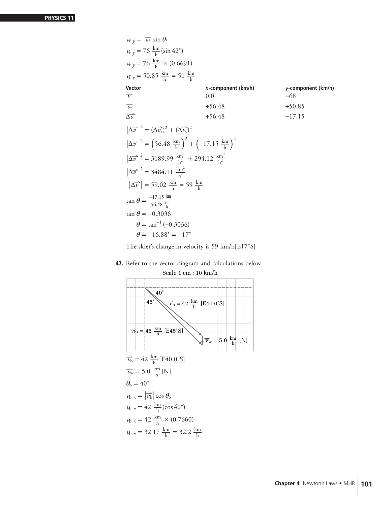$v_{f y} = |$  $\overrightarrow{v_f}$  sin  $\theta_f$  $v_{f y} = 76 \frac{\text{km}}{\text{h}} (\sin 42^{\circ})$  $v_{f y} = 76 \frac{\text{km}}{\text{h}} \times (0.6691)$  $v_{f y} = 50.85 \frac{\text{km}}{\text{h}} = 51 \frac{\text{km}}{\text{h}}$ **Vector** *x***-component (km/h)** *y***-component (km/h)**  $\overrightarrow{v_i}$  $\overrightarrow{v_i}$  0.0 −68  $\frac{1}{v_{f}}$  $\overrightarrow{v_{f}}$  +56.48 +50.85  $\Delta \vec{v}$  $\overrightarrow{v}$  +56.48 −17.15  $\left|\Delta \overrightarrow{v}\right|^2 = \left(\Delta \overrightarrow{v_x}\right)^2 + \left(\Delta \overrightarrow{v_y}\right)^2$  $\left|\Delta \overrightarrow{v}\right|^2 = \left(56.48 \frac{\text{km}}{\text{h}}\right)$  $\int_{}^{2} + \left( -17.15 \frac{\text{km}}{\text{h}} \right)$  $\lambda^2$  $\left|\Delta \overrightarrow{v}\right|^2 = 3189.99 \frac{\text{km}^2}{\text{h}^2} + 294.12 \frac{\text{km}^2}{\text{h}^2}$  $\left|\Delta \vec{v}\right|^2 = 3484.11 \frac{\text{km}^2}{\text{h}^2}$  $\left| \Delta \overrightarrow{v} \right|$  = 59.02  $\frac{\text{km}}{\text{h}}$  = 59  $\frac{\text{km}}{\text{h}}$  $\tan \theta = \frac{-17.15 \frac{\text{km}}{\text{h}}}{56.48 \frac{\text{km}}{\text{h}}}$ tan  $\theta = -0.3036$  $\theta = \tan^{-1}(-0.3036)$  $\theta = -16.88^{\circ} = -17^{\circ}$ 

The skier's change in velocity is 59 km/h[E17˚S]

#### **47.** Refer to the vector diagram and calculations below.

 $\overrightarrow{v_b}$  = 42  $\frac{\text{km}}{\text{h}}$  [E40.0°S]  $\overrightarrow{v_w}$  = 5.0  $\frac{\text{km}}{\text{h}}$  [N]  $\theta_b = 40^\circ$  $v_{\rm b}$   $_{x}$  =  $\vert$  $\left|\overrightarrow{v_{b}}\right|$  cos  $\theta_{b}$  $v_{\rm b}$  *x* = 42  $\frac{\rm km}{\rm h}$  (cos 40°)  $v_{\text{b x}} = 42 \frac{\text{km}}{\text{h}} \times (0.7660)$  $v_{\text{b x}} = 32.17 \frac{\text{km}}{\text{h}} = 32.2 \frac{\text{km}}{\text{h}}$ 40˚  $45°$   $\overrightarrow{V_b}$  = 42  $\frac{\text{km}}{\text{h}}$  [E40.0°S]  $\overrightarrow{v}_w = 5.0 \frac{\text{km}}{\text{h}}$  [N]  $\overrightarrow{v}_{\text{bs}} = 45 \frac{\text{km}}{\text{h}}$  [E45°S]

# Scale 1 cm : 10 km/h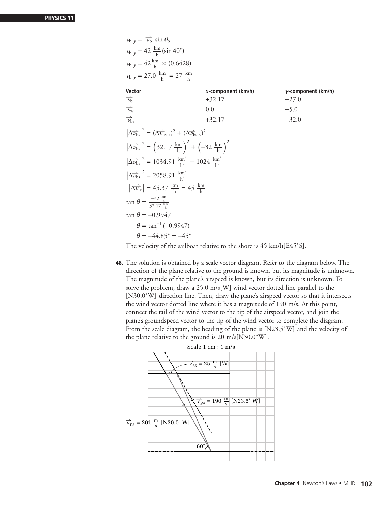| <i>x</i> -component ( $km/h$ )                                                                                                                | $y$ -component (km/h) |
|-----------------------------------------------------------------------------------------------------------------------------------------------|-----------------------|
| $+32.17$                                                                                                                                      | $-27.0$               |
| 0.0                                                                                                                                           | $-5.0$                |
| $+32.17$                                                                                                                                      | $-32.0$               |
| $\left \Delta \vec{v}_{\text{bs}}\right ^2 = \left(\Delta \vec{v}_{\text{bs}}\right)^2 + \left(\Delta \vec{v}_{\text{bs}}\right)^2$           |                       |
| $\left \Delta \vec{v}_{\text{bs}}\right ^2 = \left(32.17 \frac{\text{km}}{\text{h}}\right)^2 + \left(-32 \frac{\text{km}}{\text{h}}\right)^2$ |                       |
| $\left \Delta \vec{v}_{\text{bs}}\right ^2 = 1034.91 \frac{\text{km}^2}{\text{L}^2} + 1024 \frac{\text{km}^2}{\text{L}^2}$                    |                       |
|                                                                                                                                               |                       |
| $\left \Delta \vec{v}_{\text{bs}}\right  = 45.37 \frac{\text{km}}{\text{h}} = 45 \frac{\text{km}}{\text{h}}$                                  |                       |
|                                                                                                                                               |                       |
|                                                                                                                                               |                       |
|                                                                                                                                               |                       |
|                                                                                                                                               |                       |
|                                                                                                                                               |                       |

The velocity of the sailboat relative to the shore is 45 km/h[E45˚S].

**48.** The solution is obtained by a scale vector diagram. Refer to the diagram below. The direction of the plane relative to the ground is known, but its magnitude is unknown. The magnitude of the plane's airspeed is known, but its direction is unknown. To solve the problem, draw a 25.0 m/s[W] wind vector dotted line parallel to the [N30.0°W] direction line. Then, draw the plane's airspeed vector so that it intersects the wind vector dotted line where it has a magnitude of 190 m/s. At this point, connect the tail of the wind vector to the tip of the airspeed vector, and join the plane's groundspeed vector to the tip of the wind vector to complete the diagram. From the scale diagram, the heading of the plane is [N23.5˚W] and the velocity of the plane relative to the ground is 20 m/s[N30.0˚W].

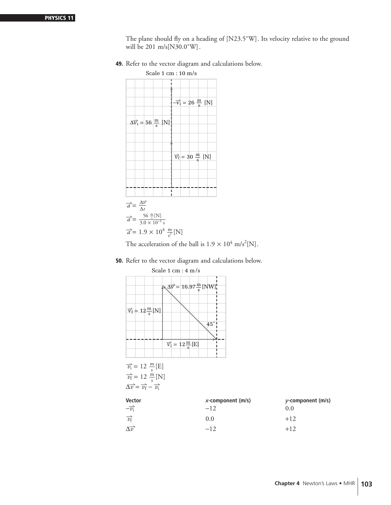The plane should fly on a heading of [N23.5°W]. Its velocity relative to the ground will be 201 m/s[N30.0˚W].

**49.** Refer to the vector diagram and calculations below.



The acceleration of the ball is  $1.9 \times 10^4$  m/s<sup>2</sup>[N].

**50.** Refer to the vector diagram and calculations below.

| $\sqrt{\Delta V}$ = 16.97 $\frac{m}{e}$ [NW]]<br>$\overrightarrow{v_f} = 12 \frac{\text{m}}{\text{s}}$ [N]<br>$45^{\circ}$<br>$\overrightarrow{v_i} = 12 \frac{m}{s} [E]$ | Scale $1 \text{ cm} : 4 \text{ m/s}$          |  |  |  |  |
|---------------------------------------------------------------------------------------------------------------------------------------------------------------------------|-----------------------------------------------|--|--|--|--|
|                                                                                                                                                                           |                                               |  |  |  |  |
|                                                                                                                                                                           |                                               |  |  |  |  |
| $\overrightarrow{v_f}$ = 12 $\frac{m}{s}$ [N]                                                                                                                             | $\overrightarrow{v_i}$ = 12 $\frac{m}{s}$ [E] |  |  |  |  |

$$
\Delta \overrightarrow{v} = \overrightarrow{v_{\rm f}} - \overrightarrow{v_{\rm i}}
$$

| <b>Vector</b>           | $x$ -component (m/s) | y-component (m/s) |
|-------------------------|----------------------|-------------------|
| $-\overrightarrow{v_i}$ | $-12$                | 0.0               |
| $\overrightarrow{v_f}$  | 0.0                  | $+12$             |
| $\Delta \vec{v}$        | $-12$                | $+12$             |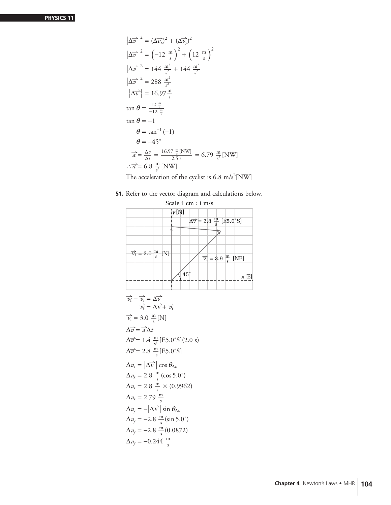$$
\left|\Delta \overrightarrow{v}\right|^2 = \left(\Delta \overrightarrow{v_x}\right)^2 + \left(\Delta \overrightarrow{v_y}\right)^2
$$
  
\n
$$
\left|\Delta \overrightarrow{v}\right|^2 = \left(-12 \frac{m}{s}\right)^2 + \left(12 \frac{m}{s}\right)^2
$$
  
\n
$$
\left|\Delta \overrightarrow{v}\right|^2 = 144 \frac{m^2}{s^2} + 144 \frac{m^2}{s^2}
$$
  
\n
$$
\left|\Delta \overrightarrow{v}\right|^2 = 288 \frac{m^2}{s^2}
$$
  
\n
$$
\left|\Delta \overrightarrow{v}\right| = 16.97 \frac{m}{s}
$$
  
\n
$$
\tan \theta = \frac{12 \frac{m}{s}}{-12 \frac{m}{s}}
$$
  
\n
$$
\tan \theta = -1
$$
  
\n
$$
\theta = \tan^{-1} (-1)
$$
  
\n
$$
\theta = -45^\circ
$$
  
\n
$$
\overrightarrow{a} = \frac{\Delta v}{\Delta t} = \frac{16.97 \frac{m}{s} \text{[NW]}}{2.5 \text{ s}} = 6.79 \frac{m}{s^2} \text{[NW]}
$$
  
\n
$$
\therefore \overrightarrow{a} = 6.8 \frac{m}{s^2} \text{[NW]}
$$

The acceleration of the cyclist is 6.8 m/s<sup>2</sup>[NW]

**51.** Refer to the vector diagram and calculations below.

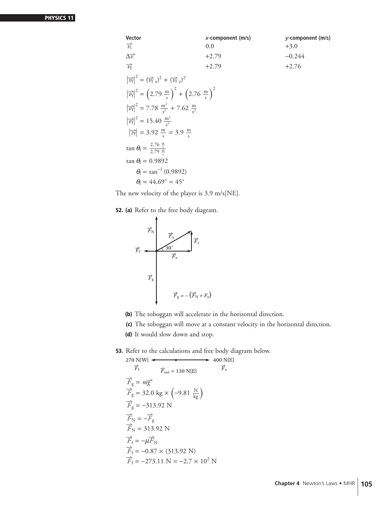| <b>Vector</b>                                                                                                       | $x$ -component (m/s) | $y$ -component (m/s) |
|---------------------------------------------------------------------------------------------------------------------|----------------------|----------------------|
| $\overrightarrow{v_i}$                                                                                              | 0.0                  | $+3.0$               |
| $\Delta \vec{v}$                                                                                                    | $+2.79$              | $-0.244$             |
| $\overrightarrow{v_{f}}$                                                                                            | $+2.79$              | $+2.76$              |
| $\left  \vec{v_{f}} \right ^{2} = (\vec{v_{f}}_{x})^{2} + (\vec{v_{f}}_{y})^{2}$                                    |                      |                      |
| $ \overrightarrow{v_{\rm f}} ^2 = (2.79 \frac{\text{m}}{\text{s}})^2 + (2.76 \frac{\text{m}}{\text{e}})^2$          |                      |                      |
| $\left \overrightarrow{v_{\rm f}}\right ^2 = 7.78 \frac{\text{m}^2}{\text{s}^2} + 7.62 \frac{\text{m}}{\text{s}^2}$ |                      |                      |
| $\left \overrightarrow{v_{f}}\right ^{2} = 15.40 \frac{m^{2}}{s^{2}}$                                               |                      |                      |
| $\left \overrightarrow{v_{f}}\right $ = 3.92 $\frac{\text{m}}{\text{s}}$ = 3.9 $\frac{\text{m}}{\text{s}}$          |                      |                      |
| $\tan \theta_{\rm f} = \frac{2.76 \frac{\rm m}{\rm s}}{2.79 \frac{\rm m}{\rm m}}$                                   |                      |                      |
| $\tan \theta_f = 0.9892$                                                                                            |                      |                      |
| $\theta_{\rm f} = \tan^{-1}(0.9892)$                                                                                |                      |                      |
| $\theta_{\rm f} = 44.69^{\circ} = 45^{\circ}$                                                                       |                      |                      |

The new velocity of the player is 3.9 m/s[NE].

**52. (a)** Refer to the free body diagram.



**(b)** The toboggan will accelerate in the horizontal direction.

**(c)** The toboggan will move at a constant velocity in the horizontal direction.

**(d)** It would slow down and stop.

**53.** Refer to the calculations and free body diagram below.

270 N[W]  
\n
$$
\overrightarrow{F}_{\text{f}}
$$
 400 N[E]  
\n $\overrightarrow{F}_{\text{g}} = m\overrightarrow{g}$   
\n $\overrightarrow{F}_{\text{g}} = 32.0 \text{ kg} \times (-9.81 \frac{\text{N}}{\text{kg}})$   
\n $\overrightarrow{F}_{\text{g}} = -313.92 \text{ N}$   
\n $\overrightarrow{F}_{\text{N}} = -\overrightarrow{F}_{\text{g}}$   
\n $\overrightarrow{F}_{\text{N}} = 313.92 \text{ N}$   
\n $\overrightarrow{F}_{\text{f}} = -\mu \overrightarrow{F}_{\text{N}}$   
\n $\overrightarrow{F}_{\text{f}} = -0.87 \times (313.92 \text{ N})$   
\n $\overrightarrow{F}_{\text{f}} = -273.11 \text{ N} = -2.7 \times 10^2 \text{ N}$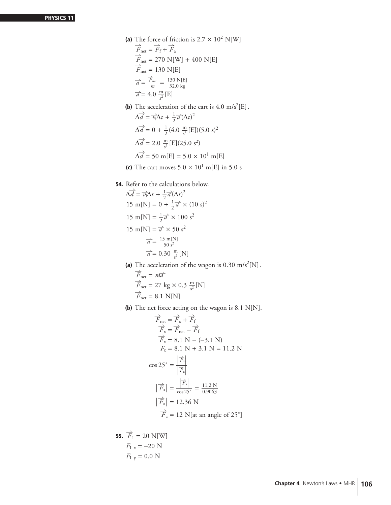- (a) The force of friction is  $2.7 \times 10^2$  N[W]  $\overrightarrow{F}_{\text{net}} = \overrightarrow{F}_{\text{f}} + \overrightarrow{F}_{\text{a}}$  $\overrightarrow{F}_{\text{net}} = 270 \text{ N[W]} + 400 \text{ N[E]}$  $\overrightarrow{F}_{\text{net}} = 130 \text{ N[E]}$  $\overrightarrow{a} = \frac{\overrightarrow{F}_{net}}{m} = \frac{130 \text{ N[E]}}{32.0 \text{ kg}}$  $\overrightarrow{a}$  = 4.0  $\frac{m}{s^2}$  [E]
- **(b)** The acceleration of the cart is  $4.0 \text{ m/s}^2$ [E].  $\Delta \overrightarrow{d} = \overrightarrow{v_i} \Delta t + \frac{1}{2}$  $\overrightarrow{a}(\Delta t)^2$  $\Delta \vec{d} = 0 + \frac{1}{2} (4.0 \frac{m}{s^2} [E])(5.0 s)^2$  $\Delta \vec{d} = 2.0 \frac{\text{m}}{\text{s}^2}$  [E](25.0 s<sup>2</sup>)  $\Delta \vec{d} = 50 \text{ m[E]} = 5.0 \times 10^1 \text{ m[E]}$
- **(c)** The cart moves  $5.0 \times 10^1$  m[E] in 5.0 s
- **54.** Refer to the calculations below.

$$
\Delta \overrightarrow{d} = \overrightarrow{v_i} \Delta t + \frac{1}{2} \overrightarrow{a} (\Delta t)^2
$$
  
15 m[N] = 0 +  $\frac{1}{2} \overrightarrow{a} \times (10 \text{ s})^2$   
15 m[N] =  $\frac{1}{2} \overrightarrow{a} \times 100 \text{ s}^2$   
15 m[N] =  $\overrightarrow{a} \times 50 \text{ s}^2$   
 $\overrightarrow{a} = \frac{15 \text{ m[N]}}{50 \text{ s}^2}$   
 $\overrightarrow{a} = 0.30 \frac{\text{m}}{\text{s}^2}$ [N]

(a) The acceleration of the wagon is 0.30 m/s<sup>2</sup>[N].

$$
\overrightarrow{F}_{\text{net}} = m\overrightarrow{a}
$$
\n
$$
\overrightarrow{F}_{\text{net}} = 27 \text{ kg} \times 0.3 \frac{\text{m}}{\text{s}^2} \text{[N]}
$$
\n
$$
\overrightarrow{F}_{\text{net}} = 8.1 \text{ N} \text{[N]}
$$

**(b)** The net force acting on the wagon is 8.1 N[N].

$$
\overrightarrow{F}_{net} = \overrightarrow{F}_x + \overrightarrow{F}_f
$$
\n
$$
\overrightarrow{F}_x = \overrightarrow{F}_{net} - \overrightarrow{F}_f
$$
\n
$$
\overrightarrow{F}_x = 8.1 \text{ N} - (-3.1 \text{ N})
$$
\n
$$
F_x = 8.1 \text{ N} + 3.1 \text{ N} = 11.2 \text{ N}
$$
\n
$$
\cos 25^\circ = \frac{\overrightarrow{F}_x}{\overrightarrow{F}_a}
$$
\n
$$
|\overrightarrow{F}_a| = \frac{\overrightarrow{F}_x}{\cos 25^\circ} = \frac{11.2 \text{ N}}{0.9063}
$$
\n
$$
|\overrightarrow{F}_a| = 12.36 \text{ N}
$$
\n
$$
\overrightarrow{F}_a = 12 \text{ N[at an angle of 25°]}
$$

**55.**  $\overrightarrow{F}_1 = 20 \text{ N[W]}$  $F_{1 x} = -20 N$  $F_{1y} = 0.0 N$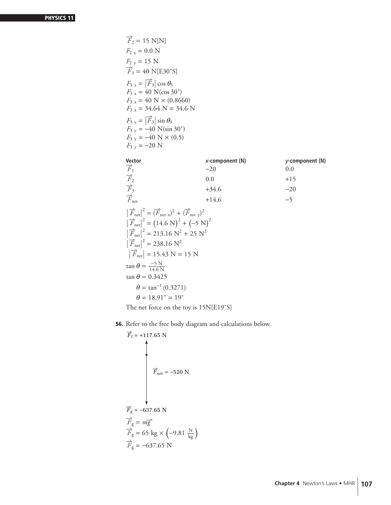| $\overrightarrow{F}_2$ = 15 N[N]                                                                                                                                                                                                                                                                                                                                                                                                 |                    |                 |
|----------------------------------------------------------------------------------------------------------------------------------------------------------------------------------------------------------------------------------------------------------------------------------------------------------------------------------------------------------------------------------------------------------------------------------|--------------------|-----------------|
| $F_{2x} = 0.0 N$                                                                                                                                                                                                                                                                                                                                                                                                                 |                    |                 |
| $F_{2y} = 15$ N                                                                                                                                                                                                                                                                                                                                                                                                                  |                    |                 |
| $\overrightarrow{F}_3$ = 40 N[E30°S]                                                                                                                                                                                                                                                                                                                                                                                             |                    |                 |
| $F_{3x} =  \vec{F}_3  \cos \theta_3$<br>$F_{3x} = 40$ N(cos 30°)<br>$F_{3x} = 40$ N $\times$ (0.8660)<br>$F_{3x}$ = 34.64 N = 34.6 N                                                                                                                                                                                                                                                                                             |                    |                 |
| $F_{3y} =  \vec{F}_3  \sin \theta_3$<br>$F_{3y} = -40 \text{ N}(\sin 30^\circ)$<br>$F_{3y} = -40$ N $\times$ (0.5)<br>$F_{3y} = -20$ N                                                                                                                                                                                                                                                                                           |                    |                 |
|                                                                                                                                                                                                                                                                                                                                                                                                                                  | $x$ -component (N) | y-component (N) |
| Vector $\frac{V_{\text{e}}}{F_1}$                                                                                                                                                                                                                                                                                                                                                                                                | $-20$              | 0.0             |
| $\overrightarrow{F}_2$<br>$\overrightarrow{F}_3$                                                                                                                                                                                                                                                                                                                                                                                 | 0.0                | $+15$           |
|                                                                                                                                                                                                                                                                                                                                                                                                                                  | $+34.6$            | $-20$           |
| $\overrightarrow{F}_{\text{net}}$                                                                                                                                                                                                                                                                                                                                                                                                | $+14.6$            | $-5$            |
| $\left  \overrightarrow{F}_{\text{net}} \right ^2 = \left( \overrightarrow{F}_{\text{net }x} \right)^2 + \left( \overrightarrow{F}_{\text{net }y} \right)^2$<br>$\left  \vec{F}_{\text{net}} \right ^2 = (14.6 \text{ N})^2 + (-5 \text{ N})^2$<br>$\left  \overrightarrow{F}_{\text{net}} \right ^2 = 213.16 \text{ N}^2 + 25 \text{ N}^2$<br>$ \vec{F}_{net} ^2$ = 238.16 N <sup>2</sup><br>$ \vec{F}_{net} $ = 15.43 N = 15 N |                    |                 |
| $\tan \theta = \frac{-5 \text{ N}}{14.6 \text{ N}}$<br>$\tan \theta = 0.3425$<br>$\theta = \tan^{-1}(0.3271)$<br>$\theta = 18.91^{\circ} = 19^{\circ}$                                                                                                                                                                                                                                                                           |                    |                 |

The net force on the toy is 15N[E19˚S]

**56.** Refer to the free body diagram and calculations below.

$$
\overrightarrow{F}_{\text{f}} = +117.65 \text{ N}
$$
\n
$$
\overrightarrow{F}_{\text{net}} = -520 \text{ N}
$$
\n
$$
\overrightarrow{F}_{\text{g}} = -637.65 \text{ N}
$$
\n
$$
\overrightarrow{F}_{\text{g}} = m\overrightarrow{g}
$$
\n
$$
\overrightarrow{F}_{\text{g}} = 65 \text{ kg} \times \left(-9.81 \frac{\text{N}}{\text{kg}}\right)
$$
\n
$$
\overrightarrow{F}_{\text{g}} = -637.65 \text{ N}
$$